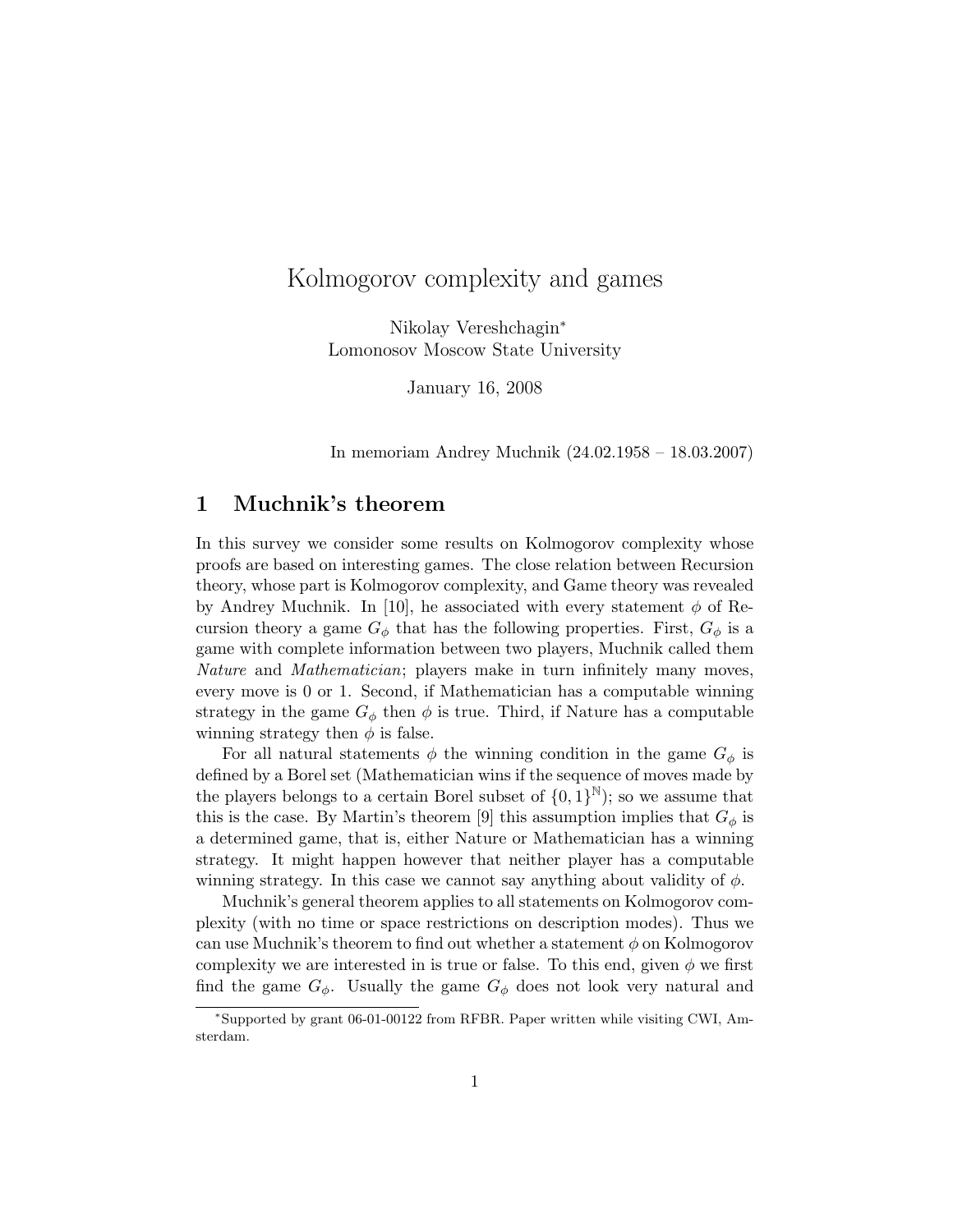# Kolmogorov complexity and games

Nikolay Vereshchagin<sup>∗</sup> Lomonosov Moscow State University

January 16, 2008

In memoriam Andrey Muchnik (24.02.1958 – 18.03.2007)

# 1 Muchnik's theorem

In this survey we consider some results on Kolmogorov complexity whose proofs are based on interesting games. The close relation between Recursion theory, whose part is Kolmogorov complexity, and Game theory was revealed by Andrey Muchnik. In [10], he associated with every statement  $\phi$  of Recursion theory a game  $G_{\phi}$  that has the following properties. First,  $G_{\phi}$  is a game with complete information between two players, Muchnik called them Nature and *Mathematician*; players make in turn infinitely many moves, every move is 0 or 1. Second, if Mathematician has a computable winning strategy in the game  $G_{\phi}$  then  $\phi$  is true. Third, if Nature has a computable winning strategy then  $\phi$  is false.

For all natural statements  $\phi$  the winning condition in the game  $G_{\phi}$  is defined by a Borel set (Mathematician wins if the sequence of moves made by the players belongs to a certain Borel subset of  $\{0, 1\}^{\mathbb{N}}$ ; so we assume that this is the case. By Martin's theorem [9] this assumption implies that  $G_{\phi}$  is a determined game, that is, either Nature or Mathematician has a winning strategy. It might happen however that neither player has a computable winning strategy. In this case we cannot say anything about validity of  $\phi$ .

Muchnik's general theorem applies to all statements on Kolmogorov complexity (with no time or space restrictions on description modes). Thus we can use Muchnik's theorem to find out whether a statement  $\phi$  on Kolmogorov complexity we are interested in is true or false. To this end, given  $\phi$  we first find the game  $G_{\phi}$ . Usually the game  $G_{\phi}$  does not look very natural and

<sup>∗</sup>Supported by grant 06-01-00122 from RFBR. Paper written while visiting CWI, Amsterdam.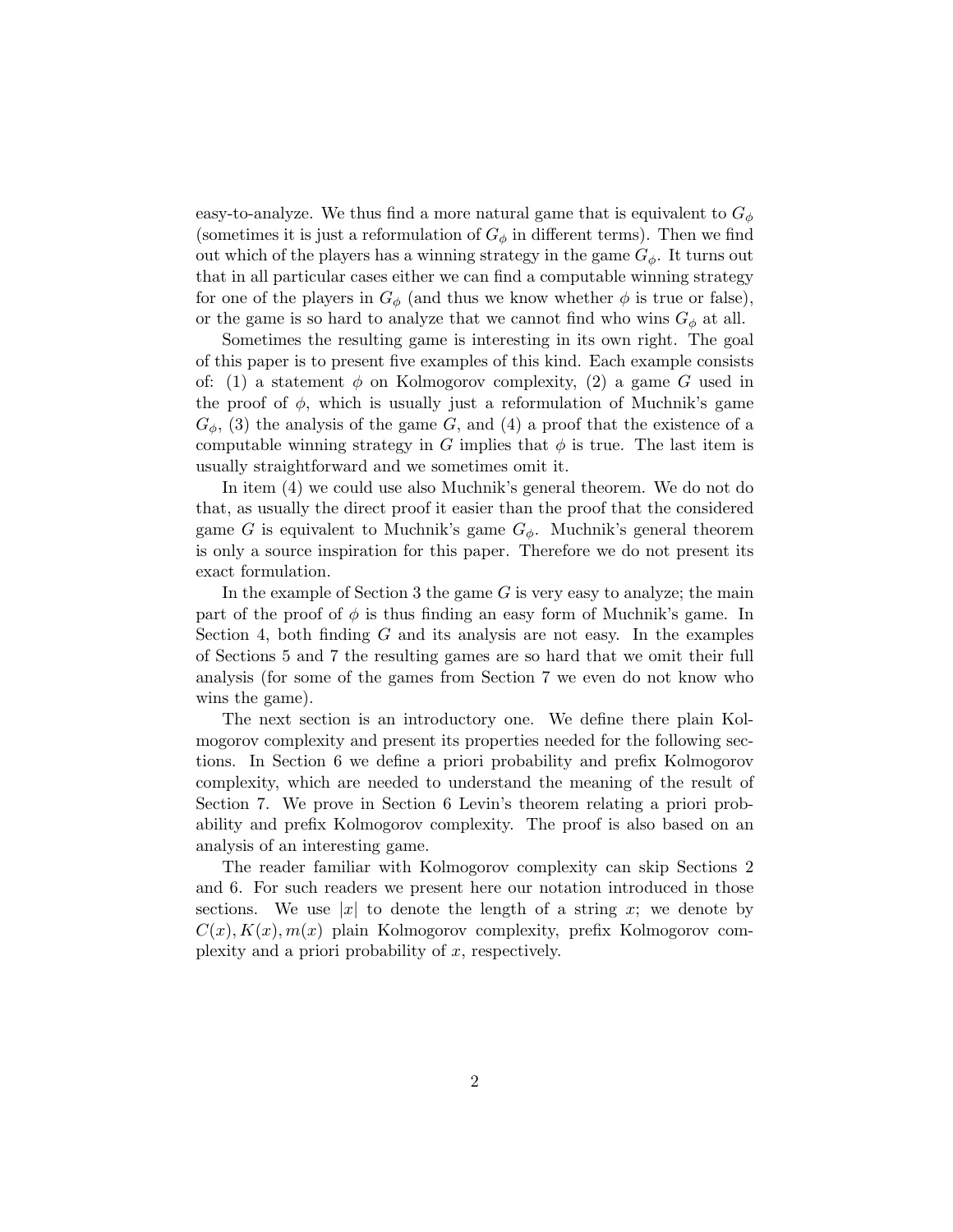easy-to-analyze. We thus find a more natural game that is equivalent to  $G_{\phi}$ (sometimes it is just a reformulation of  $G_{\phi}$  in different terms). Then we find out which of the players has a winning strategy in the game  $G_{\phi}$ . It turns out that in all particular cases either we can find a computable winning strategy for one of the players in  $G_{\phi}$  (and thus we know whether  $\phi$  is true or false), or the game is so hard to analyze that we cannot find who wins  $G_{\phi}$  at all.

Sometimes the resulting game is interesting in its own right. The goal of this paper is to present five examples of this kind. Each example consists of: (1) a statement  $\phi$  on Kolmogorov complexity, (2) a game G used in the proof of  $\phi$ , which is usually just a reformulation of Muchnik's game  $G_{\phi}$ , (3) the analysis of the game G, and (4) a proof that the existence of a computable winning strategy in G implies that  $\phi$  is true. The last item is usually straightforward and we sometimes omit it.

In item (4) we could use also Muchnik's general theorem. We do not do that, as usually the direct proof it easier than the proof that the considered game G is equivalent to Muchnik's game  $G_{\phi}$ . Muchnik's general theorem is only a source inspiration for this paper. Therefore we do not present its exact formulation.

In the example of Section 3 the game  $G$  is very easy to analyze; the main part of the proof of  $\phi$  is thus finding an easy form of Muchnik's game. In Section 4, both finding  $G$  and its analysis are not easy. In the examples of Sections 5 and 7 the resulting games are so hard that we omit their full analysis (for some of the games from Section 7 we even do not know who wins the game).

The next section is an introductory one. We define there plain Kolmogorov complexity and present its properties needed for the following sections. In Section 6 we define a priori probability and prefix Kolmogorov complexity, which are needed to understand the meaning of the result of Section 7. We prove in Section 6 Levin's theorem relating a priori probability and prefix Kolmogorov complexity. The proof is also based on an analysis of an interesting game.

The reader familiar with Kolmogorov complexity can skip Sections 2 and 6. For such readers we present here our notation introduced in those sections. We use |x| to denote the length of a string x; we denote by  $C(x)$ ,  $K(x)$ ,  $m(x)$  plain Kolmogorov complexity, prefix Kolmogorov complexity and a priori probability of  $x$ , respectively.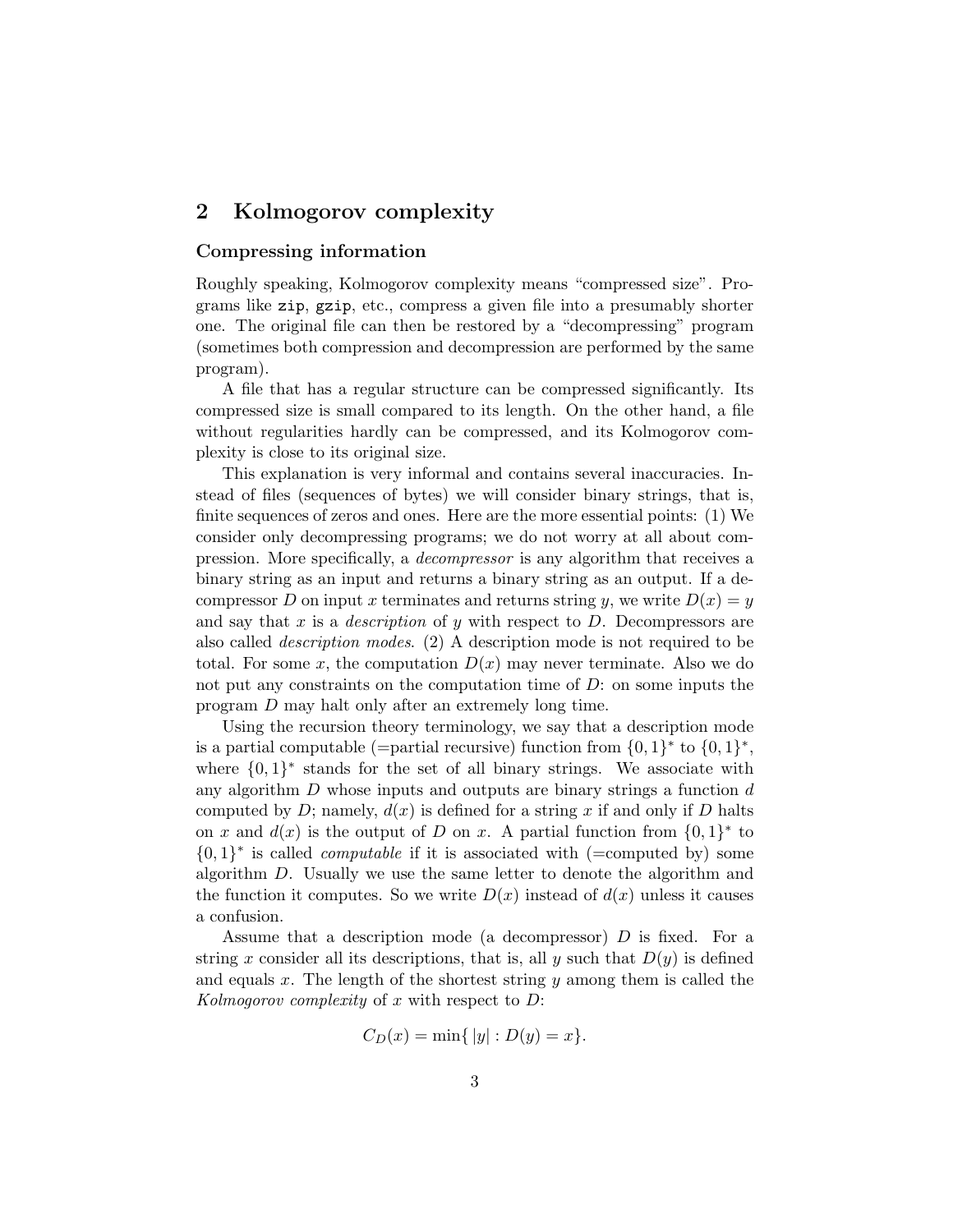# 2 Kolmogorov complexity

## Compressing information

Roughly speaking, Kolmogorov complexity means "compressed size". Programs like zip, gzip, etc., compress a given file into a presumably shorter one. The original file can then be restored by a "decompressing" program (sometimes both compression and decompression are performed by the same program).

A file that has a regular structure can be compressed significantly. Its compressed size is small compared to its length. On the other hand, a file without regularities hardly can be compressed, and its Kolmogorov complexity is close to its original size.

This explanation is very informal and contains several inaccuracies. Instead of files (sequences of bytes) we will consider binary strings, that is, finite sequences of zeros and ones. Here are the more essential points: (1) We consider only decompressing programs; we do not worry at all about compression. More specifically, a decompressor is any algorithm that receives a binary string as an input and returns a binary string as an output. If a decompressor D on input x terminates and returns string y, we write  $D(x) = y$ and say that x is a *description* of y with respect to  $D$ . Decompressors are also called description modes. (2) A description mode is not required to be total. For some x, the computation  $D(x)$  may never terminate. Also we do not put any constraints on the computation time of  $D$ : on some inputs the program D may halt only after an extremely long time.

Using the recursion theory terminology, we say that a description mode is a partial computable (=partial recursive) function from  $\{0,1\}^*$  to  $\{0,1\}^*$ , where  $\{0,1\}^*$  stands for the set of all binary strings. We associate with any algorithm  $D$  whose inputs and outputs are binary strings a function  $d$ computed by D; namely,  $d(x)$  is defined for a string x if and only if D halts on x and  $d(x)$  is the output of D on x. A partial function from  $\{0,1\}^*$  to  $\{0,1\}^*$  is called *computable* if it is associated with (=computed by) some algorithm D. Usually we use the same letter to denote the algorithm and the function it computes. So we write  $D(x)$  instead of  $d(x)$  unless it causes a confusion.

Assume that a description mode (a decompressor) D is fixed. For a string x consider all its descriptions, that is, all y such that  $D(y)$  is defined and equals  $x$ . The length of the shortest string  $y$  among them is called the Kolmogorov complexity of x with respect to  $D$ :

$$
C_D(x) = \min\{|y| : D(y) = x\}.
$$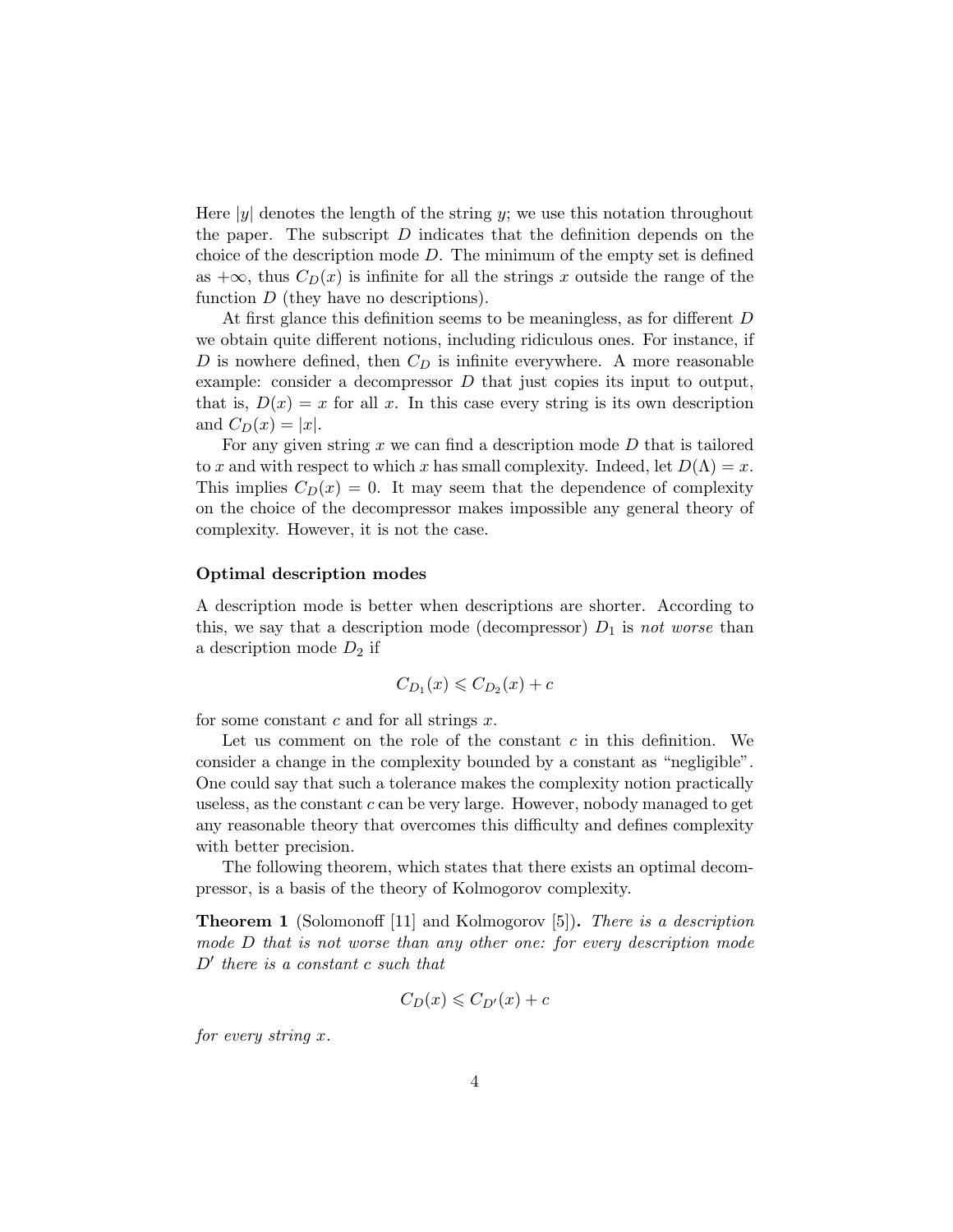Here  $|y|$  denotes the length of the string y; we use this notation throughout the paper. The subscript  $D$  indicates that the definition depends on the choice of the description mode  $D$ . The minimum of the empty set is defined as  $+\infty$ , thus  $C_D(x)$  is infinite for all the strings x outside the range of the function  $D$  (they have no descriptions).

At first glance this definition seems to be meaningless, as for different D we obtain quite different notions, including ridiculous ones. For instance, if D is nowhere defined, then  $C_D$  is infinite everywhere. A more reasonable example: consider a decompressor  $D$  that just copies its input to output, that is,  $D(x) = x$  for all x. In this case every string is its own description and  $C_D(x) = |x|$ .

For any given string  $x$  we can find a description mode  $D$  that is tailored to x and with respect to which x has small complexity. Indeed, let  $D(\Lambda) = x$ . This implies  $C_D(x) = 0$ . It may seem that the dependence of complexity on the choice of the decompressor makes impossible any general theory of complexity. However, it is not the case.

### Optimal description modes

A description mode is better when descriptions are shorter. According to this, we say that a description mode (decompressor)  $D_1$  is not worse than a description mode  $D_2$  if

$$
C_{D_1}(x) \leqslant C_{D_2}(x) + c
$$

for some constant  $c$  and for all strings  $x$ .

Let us comment on the role of the constant  $c$  in this definition. We consider a change in the complexity bounded by a constant as "negligible". One could say that such a tolerance makes the complexity notion practically useless, as the constant  $c$  can be very large. However, nobody managed to get any reasonable theory that overcomes this difficulty and defines complexity with better precision.

The following theorem, which states that there exists an optimal decompressor, is a basis of the theory of Kolmogorov complexity.

**Theorem 1** (Solomonoff [11] and Kolmogorov [5]). There is a description mode D that is not worse than any other one: for every description mode  $D'$  there is a constant c such that

$$
C_D(x) \leqslant C_{D'}(x) + c
$$

for every string x.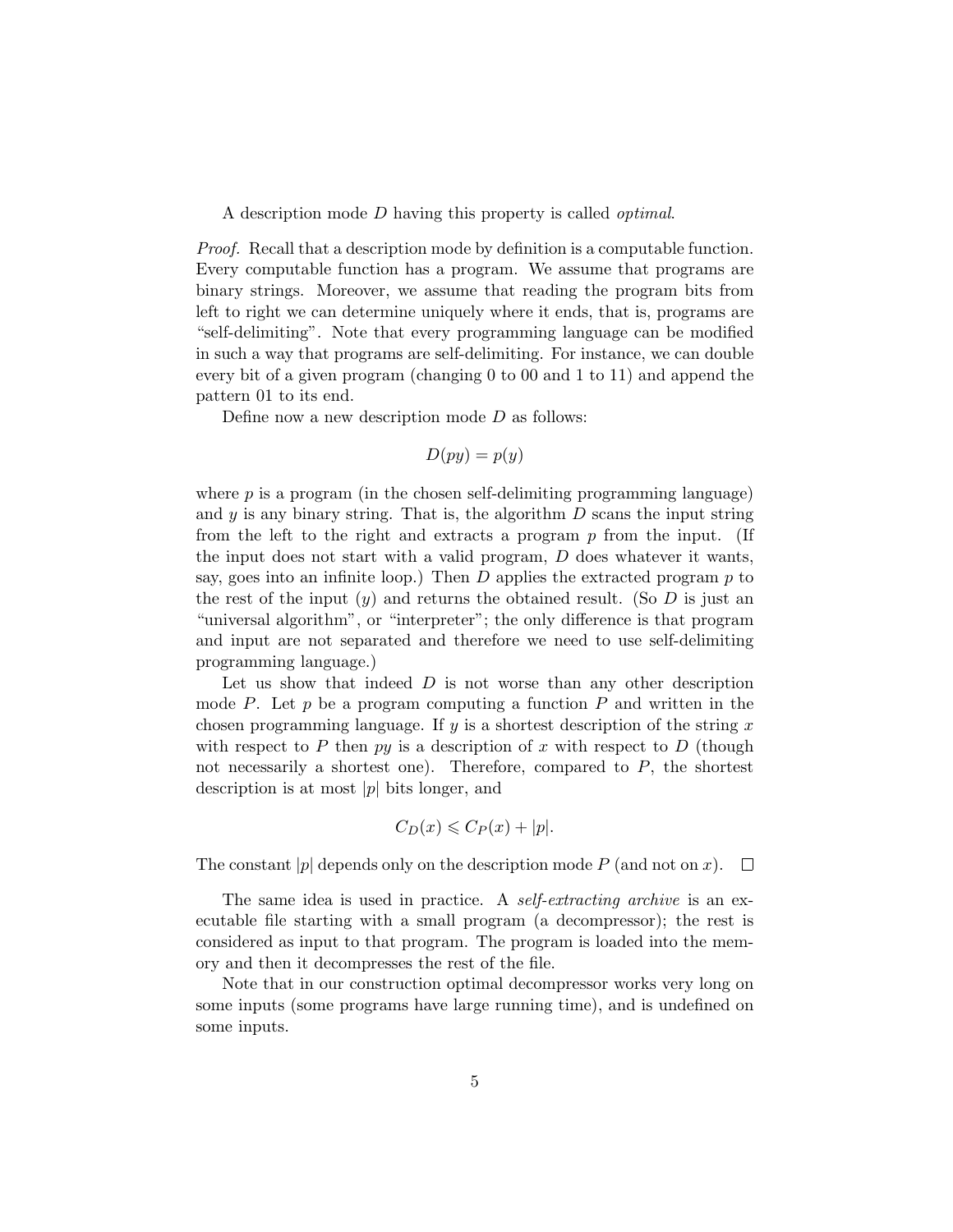A description mode D having this property is called optimal.

*Proof.* Recall that a description mode by definition is a computable function. Every computable function has a program. We assume that programs are binary strings. Moreover, we assume that reading the program bits from left to right we can determine uniquely where it ends, that is, programs are "self-delimiting". Note that every programming language can be modified in such a way that programs are self-delimiting. For instance, we can double every bit of a given program (changing 0 to 00 and 1 to 11) and append the pattern 01 to its end.

Define now a new description mode  $D$  as follows:

$$
D(py) = p(y)
$$

where  $p$  is a program (in the chosen self-delimiting programming language) and  $y$  is any binary string. That is, the algorithm  $D$  scans the input string from the left to the right and extracts a program  $p$  from the input. (If the input does not start with a valid program,  $D$  does whatever it wants, say, goes into an infinite loop.) Then  $D$  applies the extracted program  $p$  to the rest of the input  $(y)$  and returns the obtained result. (So D is just an "universal algorithm", or "interpreter"; the only difference is that program and input are not separated and therefore we need to use self-delimiting programming language.)

Let us show that indeed  $D$  is not worse than any other description mode P. Let  $p$  be a program computing a function P and written in the chosen programming language. If y is a shortest description of the string  $x$ with respect to P then  $py$  is a description of x with respect to D (though not necessarily a shortest one). Therefore, compared to  $P$ , the shortest description is at most  $|p|$  bits longer, and

$$
C_D(x) \leqslant C_P(x) + |p|.
$$

The constant |p| depends only on the description mode P (and not on x).  $\Box$ 

The same idea is used in practice. A *self-extracting archive* is an executable file starting with a small program (a decompressor); the rest is considered as input to that program. The program is loaded into the memory and then it decompresses the rest of the file.

Note that in our construction optimal decompressor works very long on some inputs (some programs have large running time), and is undefined on some inputs.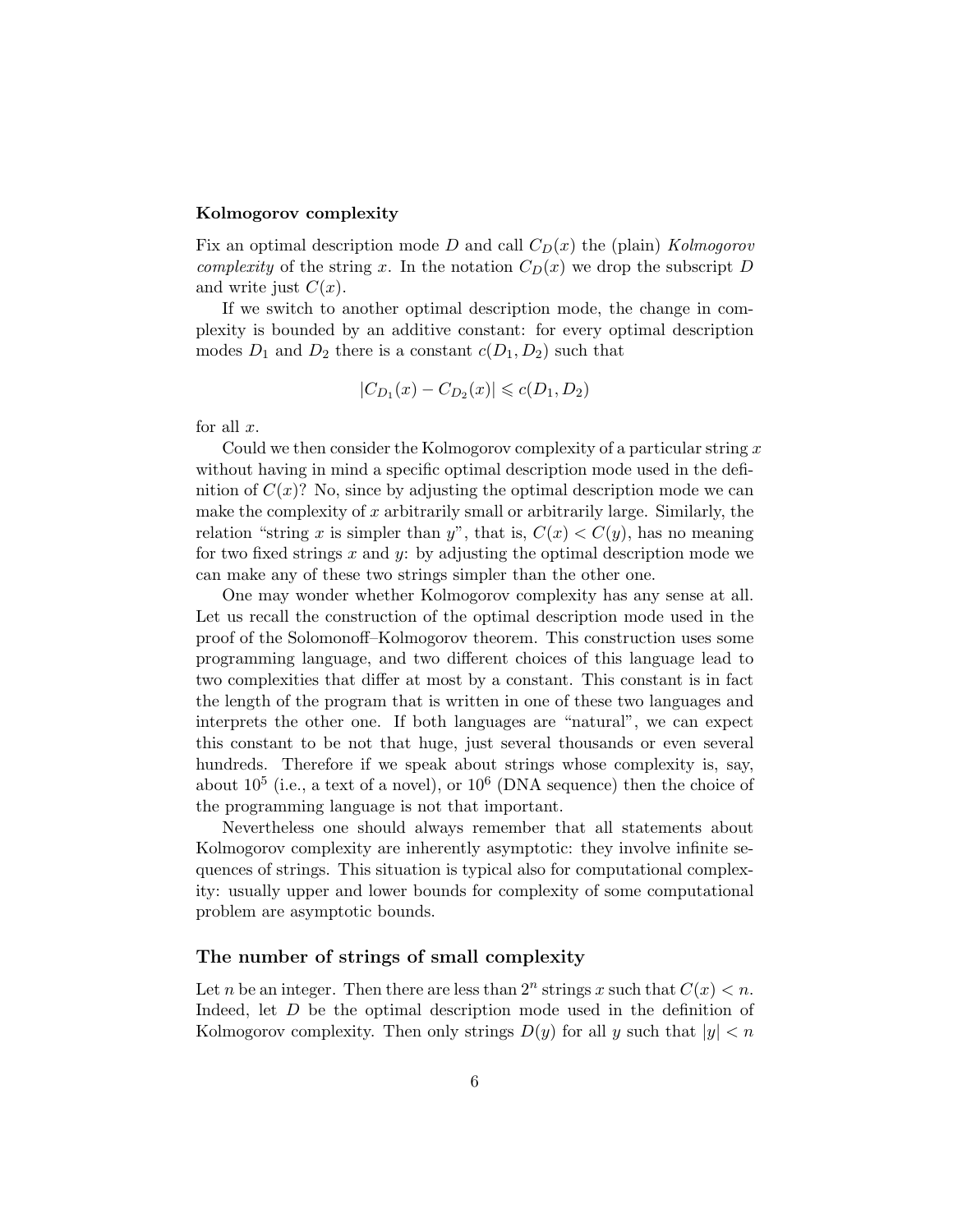### Kolmogorov complexity

Fix an optimal description mode D and call  $C_D(x)$  the (plain) Kolmogorov complexity of the string x. In the notation  $C_D(x)$  we drop the subscript D and write just  $C(x)$ .

If we switch to another optimal description mode, the change in complexity is bounded by an additive constant: for every optimal description modes  $D_1$  and  $D_2$  there is a constant  $c(D_1, D_2)$  such that

$$
|C_{D_1}(x) - C_{D_2}(x)| \leq c(D_1, D_2)
$$

for all  $x$ .

Could we then consider the Kolmogorov complexity of a particular string  $x$ without having in mind a specific optimal description mode used in the definition of  $C(x)$ ? No, since by adjusting the optimal description mode we can make the complexity of  $x$  arbitrarily small or arbitrarily large. Similarly, the relation "string x is simpler than y", that is,  $C(x) < C(y)$ , has no meaning for two fixed strings  $x$  and  $y$ : by adjusting the optimal description mode we can make any of these two strings simpler than the other one.

One may wonder whether Kolmogorov complexity has any sense at all. Let us recall the construction of the optimal description mode used in the proof of the Solomonoff–Kolmogorov theorem. This construction uses some programming language, and two different choices of this language lead to two complexities that differ at most by a constant. This constant is in fact the length of the program that is written in one of these two languages and interprets the other one. If both languages are "natural", we can expect this constant to be not that huge, just several thousands or even several hundreds. Therefore if we speak about strings whose complexity is, say, about  $10^5$  (i.e., a text of a novel), or  $10^6$  (DNA sequence) then the choice of the programming language is not that important.

Nevertheless one should always remember that all statements about Kolmogorov complexity are inherently asymptotic: they involve infinite sequences of strings. This situation is typical also for computational complexity: usually upper and lower bounds for complexity of some computational problem are asymptotic bounds.

### The number of strings of small complexity

Let *n* be an integer. Then there are less than  $2^n$  strings x such that  $C(x) < n$ . Indeed, let D be the optimal description mode used in the definition of Kolmogorov complexity. Then only strings  $D(y)$  for all y such that  $|y| < n$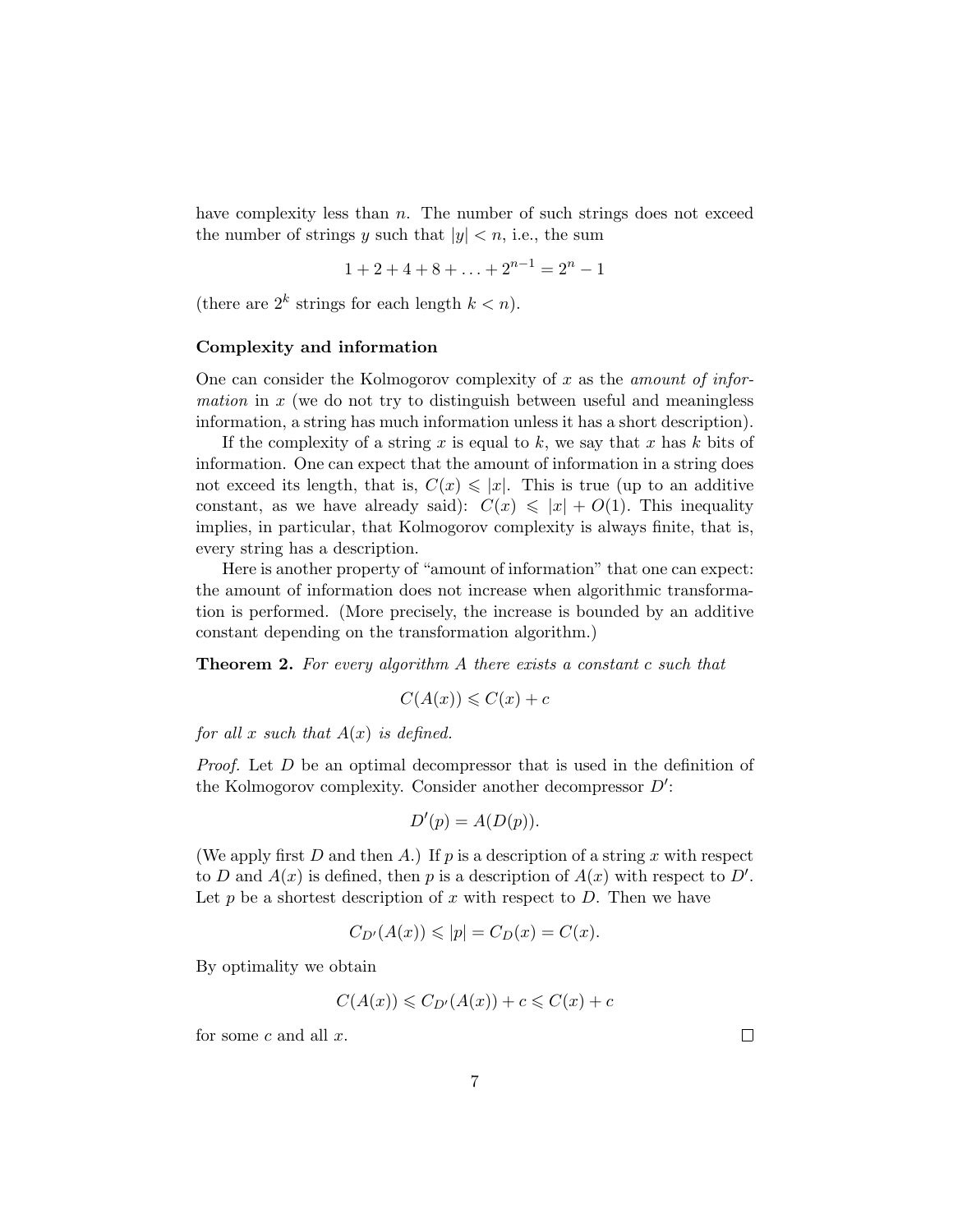have complexity less than  $n$ . The number of such strings does not exceed the number of strings y such that  $|y| < n$ , i.e., the sum

$$
1 + 2 + 4 + 8 + \ldots + 2^{n-1} = 2^n - 1
$$

(there are  $2^k$  strings for each length  $k < n$ ).

#### Complexity and information

One can consider the Kolmogorov complexity of x as the *amount of infor*mation in  $x$  (we do not try to distinguish between useful and meaningless information, a string has much information unless it has a short description).

If the complexity of a string x is equal to k, we say that x has k bits of information. One can expect that the amount of information in a string does not exceed its length, that is,  $C(x) \leq |x|$ . This is true (up to an additive constant, as we have already said):  $C(x) \leqslant |x| + O(1)$ . This inequality implies, in particular, that Kolmogorov complexity is always finite, that is, every string has a description.

Here is another property of "amount of information" that one can expect: the amount of information does not increase when algorithmic transformation is performed. (More precisely, the increase is bounded by an additive constant depending on the transformation algorithm.)

**Theorem 2.** For every algorithm A there exists a constant c such that

$$
C(A(x)) \leqslant C(x) + c
$$

for all x such that  $A(x)$  is defined.

Proof. Let D be an optimal decompressor that is used in the definition of the Kolmogorov complexity. Consider another decompressor  $D'$ :

$$
D'(p) = A(D(p)).
$$

(We apply first  $D$  and then  $A$ .) If  $p$  is a description of a string  $x$  with respect to D and  $A(x)$  is defined, then p is a description of  $A(x)$  with respect to D'. Let  $p$  be a shortest description of  $x$  with respect to  $D$ . Then we have

$$
C_{D'}(A(x)) \leqslant |p| = C_D(x) = C(x).
$$

By optimality we obtain

$$
C(A(x)) \leqslant C_{D'}(A(x)) + c \leqslant C(x) + c
$$

for some  $c$  and all  $x$ .

 $\Box$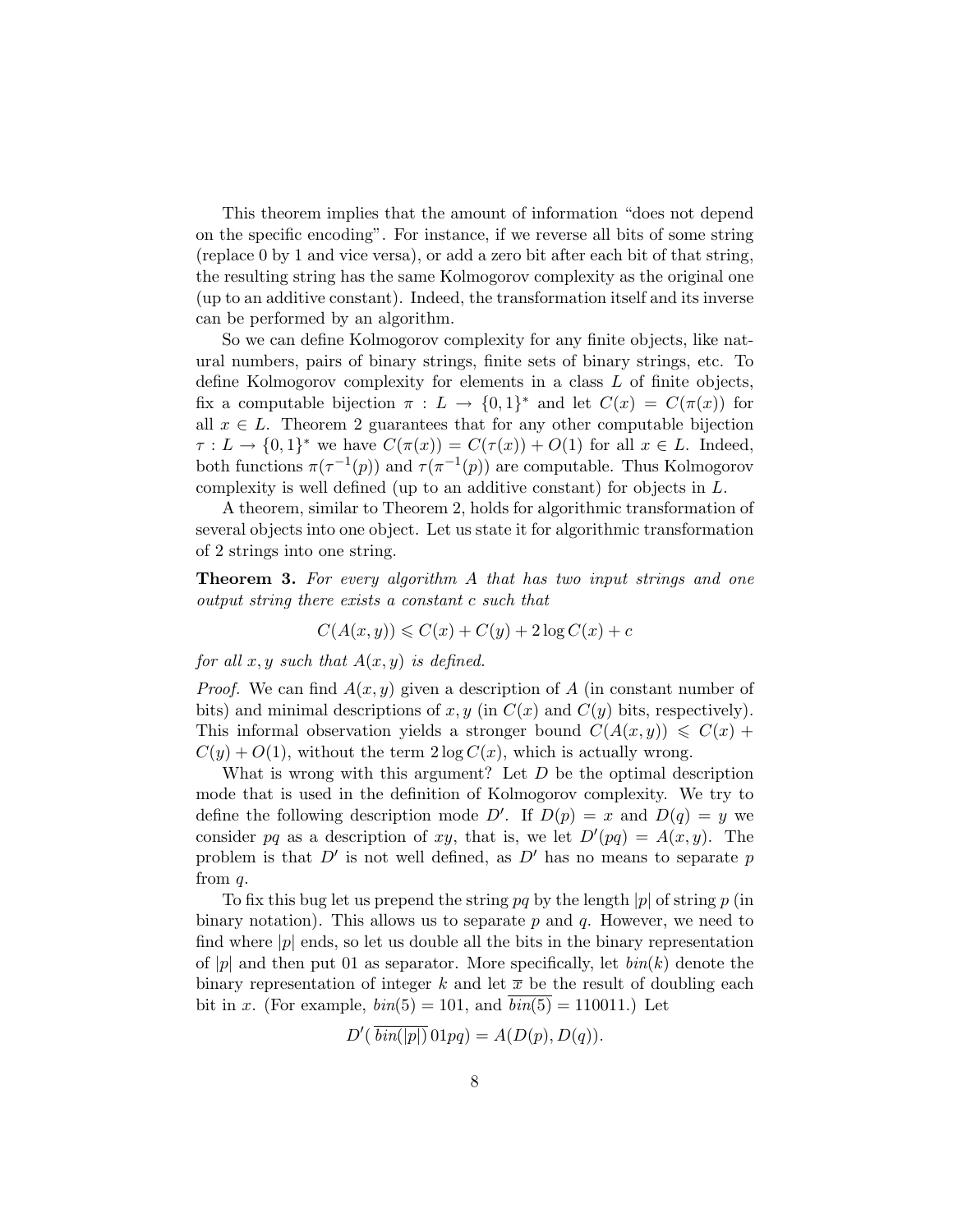This theorem implies that the amount of information "does not depend on the specific encoding". For instance, if we reverse all bits of some string (replace 0 by 1 and vice versa), or add a zero bit after each bit of that string, the resulting string has the same Kolmogorov complexity as the original one (up to an additive constant). Indeed, the transformation itself and its inverse can be performed by an algorithm.

So we can define Kolmogorov complexity for any finite objects, like natural numbers, pairs of binary strings, finite sets of binary strings, etc. To define Kolmogorov complexity for elements in a class L of finite objects, fix a computable bijection  $\pi : L \to \{0,1\}^*$  and let  $C(x) = C(\pi(x))$  for all  $x \in L$ . Theorem 2 guarantees that for any other computable bijection  $\tau: L \to \{0,1\}^*$  we have  $C(\pi(x)) = C(\tau(x)) + O(1)$  for all  $x \in L$ . Indeed, both functions  $\pi(\tau^{-1}(p))$  and  $\tau(\pi^{-1}(p))$  are computable. Thus Kolmogorov complexity is well defined (up to an additive constant) for objects in L.

A theorem, similar to Theorem 2, holds for algorithmic transformation of several objects into one object. Let us state it for algorithmic transformation of 2 strings into one string.

**Theorem 3.** For every algorithm A that has two input strings and one output string there exists a constant c such that

$$
C(A(x, y)) \leqslant C(x) + C(y) + 2\log C(x) + c
$$

for all  $x, y$  such that  $A(x, y)$  is defined.

*Proof.* We can find  $A(x, y)$  given a description of A (in constant number of bits) and minimal descriptions of x, y (in  $C(x)$  and  $C(y)$  bits, respectively). This informal observation yields a stronger bound  $C(A(x, y)) \leq C(x) +$  $C(y) + O(1)$ , without the term  $2 \log C(x)$ , which is actually wrong.

What is wrong with this argument? Let  $D$  be the optimal description mode that is used in the definition of Kolmogorov complexity. We try to define the following description mode D'. If  $D(p) = x$  and  $D(q) = y$  we consider pq as a description of xy, that is, we let  $D'(pq) = A(x, y)$ . The problem is that  $D'$  is not well defined, as  $D'$  has no means to separate p from q.

To fix this bug let us prepend the string pq by the length |p| of string p (in binary notation). This allows us to separate  $p$  and  $q$ . However, we need to find where  $|p|$  ends, so let us double all the bits in the binary representation of |p| and then put 01 as separator. More specifically, let  $\text{bin}(k)$  denote the binary representation of integer k and let  $\bar{x}$  be the result of doubling each bit in x. (For example,  $\text{bin}(5) = 101$ , and  $\text{bin}(5) = 110011$ .) Let

$$
D'(\overline{\mathit{bin}(|p|)}01pq) = A(D(p), D(q)).
$$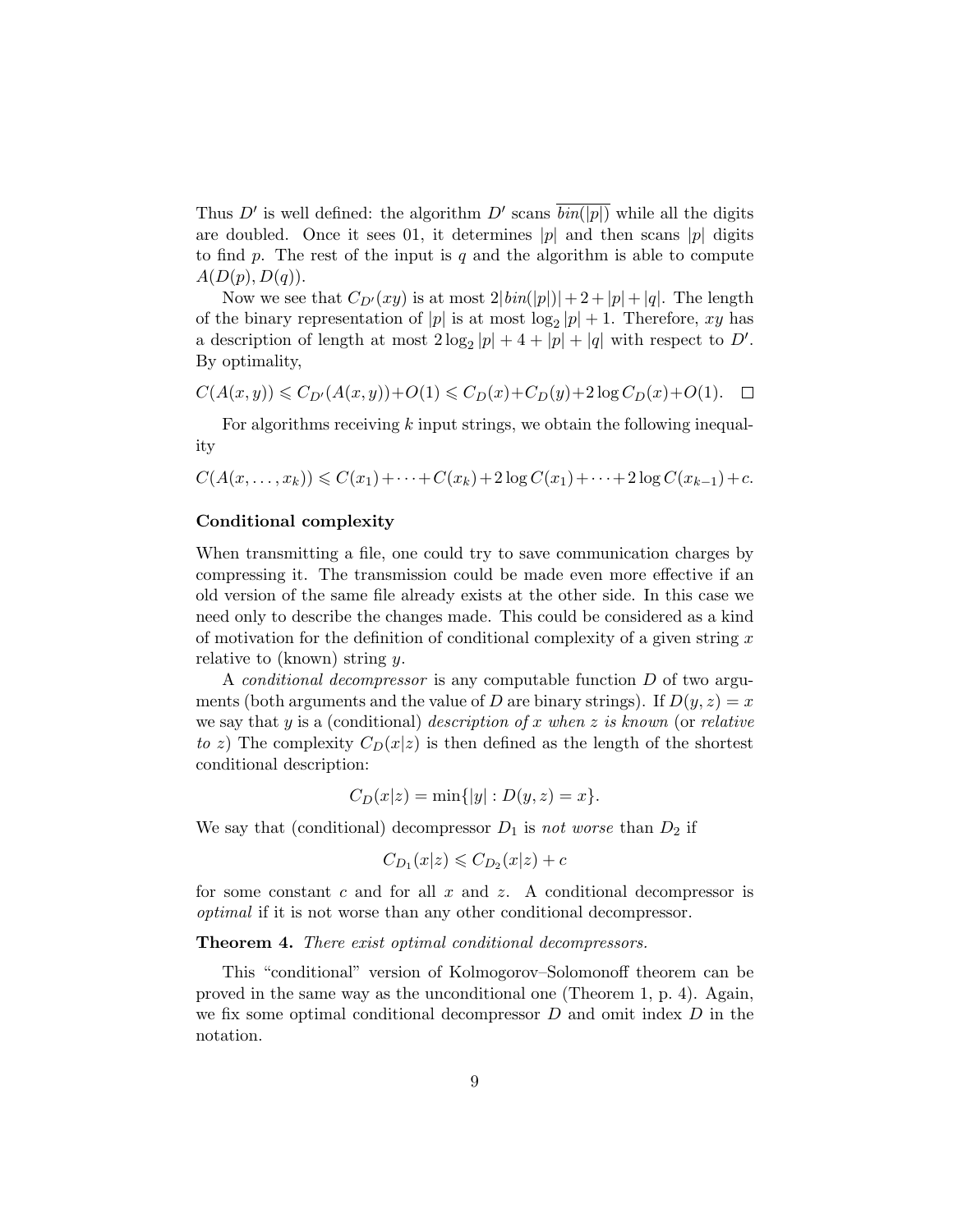Thus D' is well defined: the algorithm D' scans  $\overline{\text{bin}(|p|)}$  while all the digits are doubled. Once it sees 01, it determines |p| and then scans |p| digits to find p. The rest of the input is q and the algorithm is able to compute  $A(D(p), D(q)).$ 

Now we see that  $C_{D'}(xy)$  is at most  $2|bin(|p|)|+2+|p|+|q|$ . The length of the binary representation of  $|p|$  is at most  $\log_2 |p| + 1$ . Therefore, xy has a description of length at most  $2 \log_2 |p| + 4 + |p| + |q|$  with respect to D'. By optimality,

$$
C(A(x,y)) \leqslant C_{D'}(A(x,y)) + O(1) \leqslant C_D(x) + C_D(y) + 2\log C_D(x) + O(1). \quad \Box
$$

For algorithms receiving  $k$  input strings, we obtain the following inequality

$$
C(A(x, ..., x_k)) \leq C(x_1) + \cdots + C(x_k) + 2\log C(x_1) + \cdots + 2\log C(x_{k-1}) + c.
$$

### Conditional complexity

When transmitting a file, one could try to save communication charges by compressing it. The transmission could be made even more effective if an old version of the same file already exists at the other side. In this case we need only to describe the changes made. This could be considered as a kind of motivation for the definition of conditional complexity of a given string  $x$ relative to (known) string y.

A *conditional decompressor* is any computable function  $D$  of two arguments (both arguments and the value of D are binary strings). If  $D(y, z) = x$ we say that y is a (conditional) description of x when z is known (or relative to z) The complexity  $C_D(x|z)$  is then defined as the length of the shortest conditional description:

$$
C_D(x|z) = \min\{|y| : D(y, z) = x\}.
$$

We say that (conditional) decompressor  $D_1$  is not worse than  $D_2$  if

$$
C_{D_1}(x|z) \leqslant C_{D_2}(x|z) + c
$$

for some constant  $c$  and for all  $x$  and  $z$ . A conditional decompressor is optimal if it is not worse than any other conditional decompressor.

Theorem 4. There exist optimal conditional decompressors.

This "conditional" version of Kolmogorov–Solomonoff theorem can be proved in the same way as the unconditional one (Theorem 1, p. 4). Again, we fix some optimal conditional decompressor  $D$  and omit index  $D$  in the notation.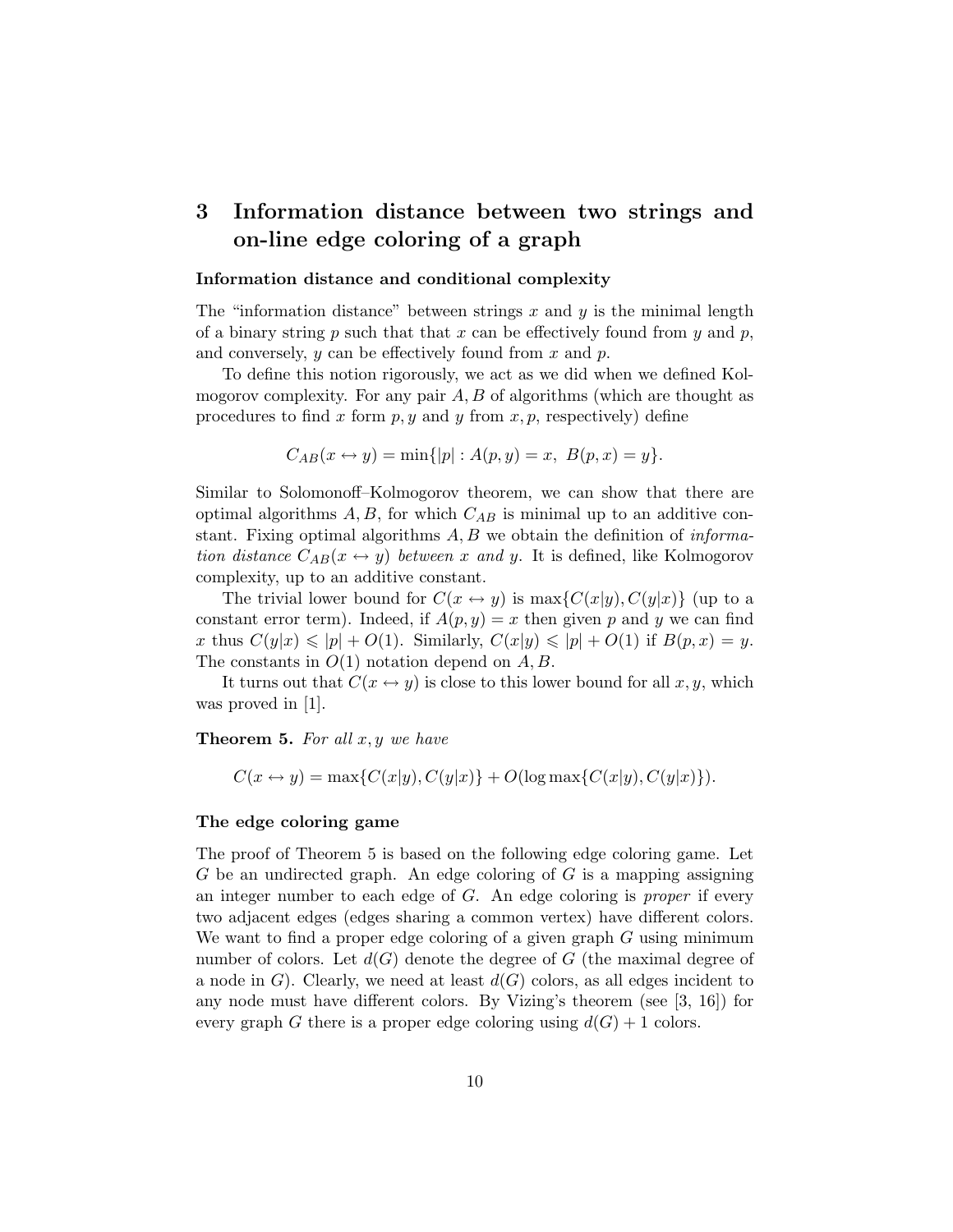# 3 Information distance between two strings and on-line edge coloring of a graph

### Information distance and conditional complexity

The "information distance" between strings x and  $\gamma$  is the minimal length of a binary string  $p$  such that that  $x$  can be effectively found from  $y$  and  $p$ , and conversely,  $y$  can be effectively found from  $x$  and  $p$ .

To define this notion rigorously, we act as we did when we defined Kolmogorov complexity. For any pair  $A, B$  of algorithms (which are thought as procedures to find x form  $p, y$  and y from  $x, p$ , respectively) define

$$
C_{AB}(x \leftrightarrow y) = \min\{|p| : A(p, y) = x, B(p, x) = y\}.
$$

Similar to Solomonoff–Kolmogorov theorem, we can show that there are optimal algorithms  $A, B$ , for which  $C_{AB}$  is minimal up to an additive constant. Fixing optimal algorithms  $A, B$  we obtain the definition of *informa*tion distance  $C_{AB}(x \leftrightarrow y)$  between x and y. It is defined, like Kolmogorov complexity, up to an additive constant.

The trivial lower bound for  $C(x \leftrightarrow y)$  is  $\max\{C(x|y), C(y|x)\}\$  (up to a constant error term). Indeed, if  $A(p, y) = x$  then given p and y we can find x thus  $C(y|x) \leqslant |p| + O(1)$ . Similarly,  $C(x|y) \leqslant |p| + O(1)$  if  $B(p, x) = y$ . The constants in  $O(1)$  notation depend on  $A, B$ .

It turns out that  $C(x \leftrightarrow y)$  is close to this lower bound for all  $x, y$ , which was proved in [1].

**Theorem 5.** For all  $x, y$  we have

$$
C(x \leftrightarrow y) = \max\{C(x|y), C(y|x)\} + O(\log \max\{C(x|y), C(y|x)\}).
$$

### The edge coloring game

The proof of Theorem 5 is based on the following edge coloring game. Let  $G$  be an undirected graph. An edge coloring of  $G$  is a mapping assigning an integer number to each edge of G. An edge coloring is proper if every two adjacent edges (edges sharing a common vertex) have different colors. We want to find a proper edge coloring of a given graph G using minimum number of colors. Let  $d(G)$  denote the degree of G (the maximal degree of a node in G). Clearly, we need at least  $d(G)$  colors, as all edges incident to any node must have different colors. By Vizing's theorem (see [3, 16]) for every graph G there is a proper edge coloring using  $d(G) + 1$  colors.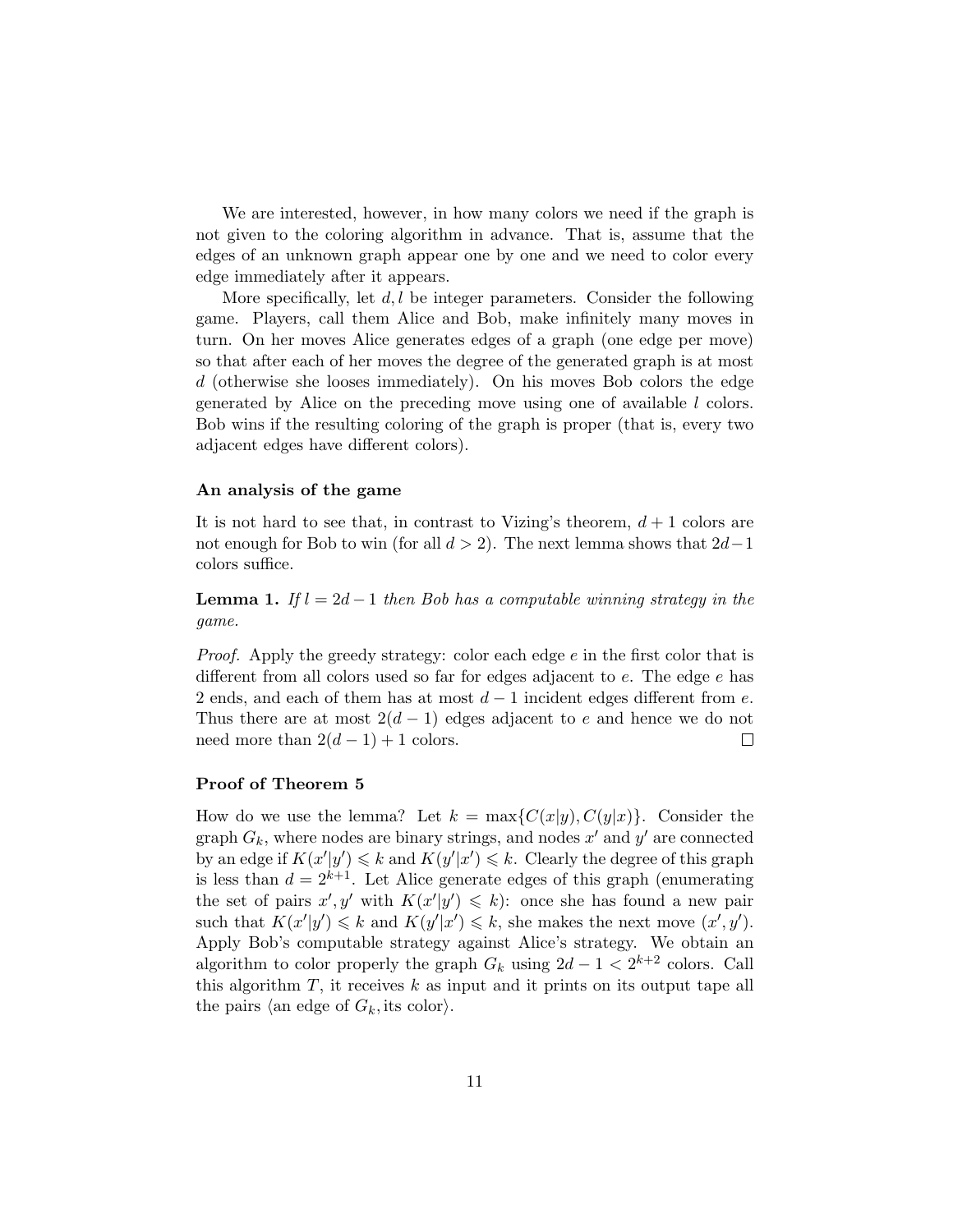We are interested, however, in how many colors we need if the graph is not given to the coloring algorithm in advance. That is, assume that the edges of an unknown graph appear one by one and we need to color every edge immediately after it appears.

More specifically, let  $d, l$  be integer parameters. Consider the following game. Players, call them Alice and Bob, make infinitely many moves in turn. On her moves Alice generates edges of a graph (one edge per move) so that after each of her moves the degree of the generated graph is at most d (otherwise she looses immediately). On his moves Bob colors the edge generated by Alice on the preceding move using one of available l colors. Bob wins if the resulting coloring of the graph is proper (that is, every two adjacent edges have different colors).

### An analysis of the game

It is not hard to see that, in contrast to Vizing's theorem,  $d+1$  colors are not enough for Bob to win (for all  $d > 2$ ). The next lemma shows that  $2d-1$ colors suffice.

**Lemma 1.** If  $l = 2d - 1$  then Bob has a computable winning strategy in the game.

Proof. Apply the greedy strategy: color each edge e in the first color that is different from all colors used so far for edges adjacent to e. The edge e has 2 ends, and each of them has at most  $d-1$  incident edges different from e. Thus there are at most  $2(d-1)$  edges adjacent to e and hence we do not need more than  $2(d-1) + 1$  colors.  $\Box$ 

#### Proof of Theorem 5

How do we use the lemma? Let  $k = \max\{C(x|y), C(y|x)\}\$ . Consider the graph  $G_k$ , where nodes are binary strings, and nodes  $x'$  and  $y'$  are connected by an edge if  $K(x'|y') \le k$  and  $K(y'|x') \le k$ . Clearly the degree of this graph is less than  $d = 2^{k+1}$ . Let Alice generate edges of this graph (enumerating the set of pairs  $x', y'$  with  $K(x'|y') \leq k$ : once she has found a new pair such that  $K(x'|y') \leq k$  and  $K(y'|x') \leq k$ , she makes the next move  $(x', y')$ . Apply Bob's computable strategy against Alice's strategy. We obtain an algorithm to color properly the graph  $G_k$  using  $2d - 1 < 2^{k+2}$  colors. Call this algorithm  $T$ , it receives  $k$  as input and it prints on its output tape all the pairs (an edge of  $G_k$ , its color).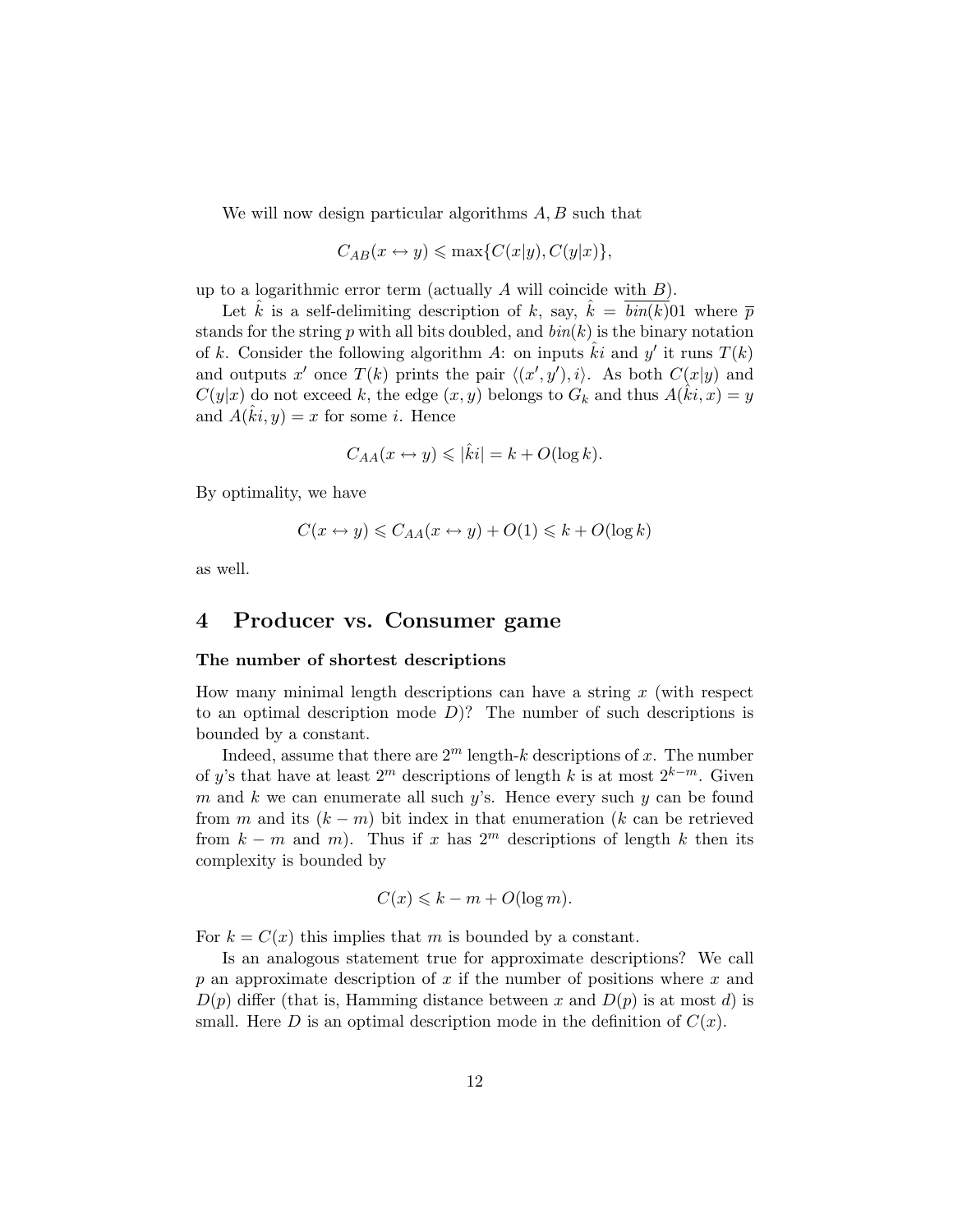We will now design particular algorithms  $A, B$  such that

$$
C_{AB}(x \leftrightarrow y) \le \max\{C(x|y), C(y|x)\},\
$$

up to a logarithmic error term (actually  $A$  will coincide with  $B$ ).

Let  $\hat{k}$  is a self-delimiting description of k, say,  $\hat{k} = \overline{bin(k)}$  01 where  $\overline{p}$ stands for the string p with all bits doubled, and  $\mathit{bin}(k)$  is the binary notation of k. Consider the following algorithm A: on inputs  $\hat{k}i$  and y' it runs  $T(k)$ and outputs x' once  $T(k)$  prints the pair  $\langle (x', y'), i \rangle$ . As both  $C(x|y)$  and  $C(y|x)$  do not exceed k, the edge  $(x, y)$  belongs to  $G_k$  and thus  $A(\hat{k}i, x) = y$ and  $\hat{A}(\hat{k}i, y) = x$  for some *i*. Hence

$$
C_{AA}(x \leftrightarrow y) \leqslant |\hat{k}i| = k + O(\log k).
$$

By optimality, we have

$$
C(x \leftrightarrow y) \leq C_{AA}(x \leftrightarrow y) + O(1) \leq k + O(\log k)
$$

as well.

## 4 Producer vs. Consumer game

### The number of shortest descriptions

How many minimal length descriptions can have a string  $x$  (with respect to an optimal description mode  $D$ ? The number of such descriptions is bounded by a constant.

Indeed, assume that there are  $2^m$  length-k descriptions of x. The number of y's that have at least  $2^m$  descriptions of length k is at most  $2^{k-m}$ . Given m and k we can enumerate all such  $y$ 's. Hence every such  $y$  can be found from m and its  $(k - m)$  bit index in that enumeration (k can be retrieved from  $k - m$  and m). Thus if x has  $2<sup>m</sup>$  descriptions of length k then its complexity is bounded by

$$
C(x) \leqslant k - m + O(\log m).
$$

For  $k = C(x)$  this implies that m is bounded by a constant.

Is an analogous statement true for approximate descriptions? We call p an approximate description of x if the number of positions where  $x$  and  $D(p)$  differ (that is, Hamming distance between x and  $D(p)$  is at most d) is small. Here D is an optimal description mode in the definition of  $C(x)$ .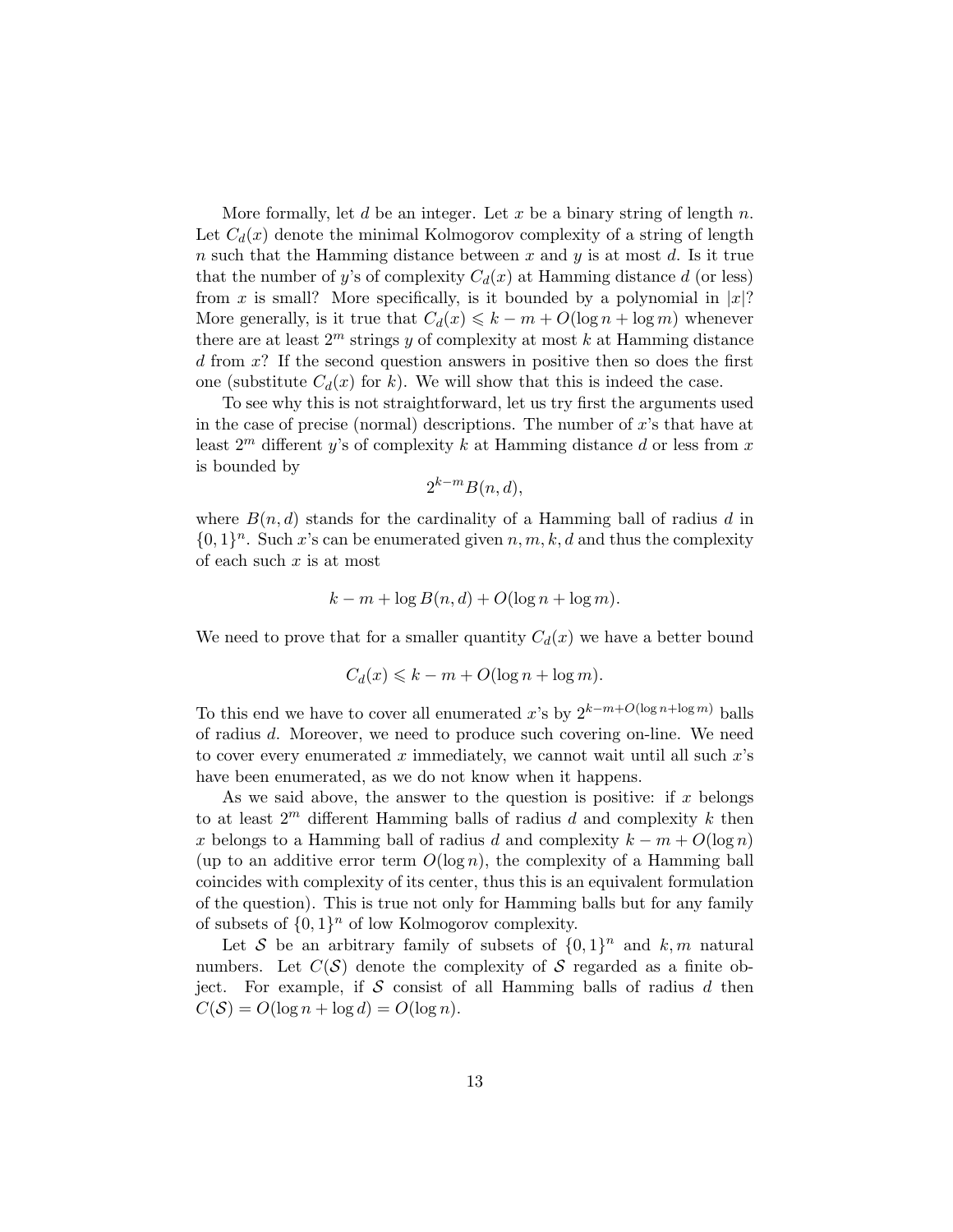More formally, let d be an integer. Let x be a binary string of length  $n$ . Let  $C_d(x)$  denote the minimal Kolmogorov complexity of a string of length n such that the Hamming distance between  $x$  and  $y$  is at most  $d$ . Is it true that the number of y's of complexity  $C_d(x)$  at Hamming distance d (or less) from x is small? More specifically, is it bounded by a polynomial in  $|x|$ ? More generally, is it true that  $C_d(x) \leq k - m + O(\log n + \log m)$  whenever there are at least  $2^m$  strings y of complexity at most k at Hamming distance  $d$  from  $x$ ? If the second question answers in positive then so does the first one (substitute  $C_d(x)$  for k). We will show that this is indeed the case.

To see why this is not straightforward, let us try first the arguments used in the case of precise (normal) descriptions. The number of  $x$ 's that have at least  $2^m$  different y's of complexity k at Hamming distance d or less from x is bounded by

$$
2^{k-m}B(n,d),
$$

where  $B(n, d)$  stands for the cardinality of a Hamming ball of radius d in  $\{0,1\}^n$ . Such x's can be enumerated given  $n, m, k, d$  and thus the complexity of each such  $x$  is at most

$$
k - m + \log B(n, d) + O(\log n + \log m).
$$

We need to prove that for a smaller quantity  $C_d(x)$  we have a better bound

$$
C_d(x) \leq k - m + O(\log n + \log m).
$$

To this end we have to cover all enumerated x's by  $2^{k-m+O(\log n + \log m)}$  balls of radius d. Moreover, we need to produce such covering on-line. We need to cover every enumerated x immediately, we cannot wait until all such  $x$ 's have been enumerated, as we do not know when it happens.

As we said above, the answer to the question is positive: if  $x$  belongs to at least  $2^m$  different Hamming balls of radius d and complexity k then x belongs to a Hamming ball of radius d and complexity  $k - m + O(\log n)$ (up to an additive error term  $O(\log n)$ , the complexity of a Hamming ball coincides with complexity of its center, thus this is an equivalent formulation of the question). This is true not only for Hamming balls but for any family of subsets of  $\{0,1\}^n$  of low Kolmogorov complexity.

Let S be an arbitrary family of subsets of  $\{0,1\}^n$  and  $k,m$  natural numbers. Let  $C(S)$  denote the complexity of S regarded as a finite object. For example, if S consist of all Hamming balls of radius  $d$  then  $C(S) = O(\log n + \log d) = O(\log n)$ .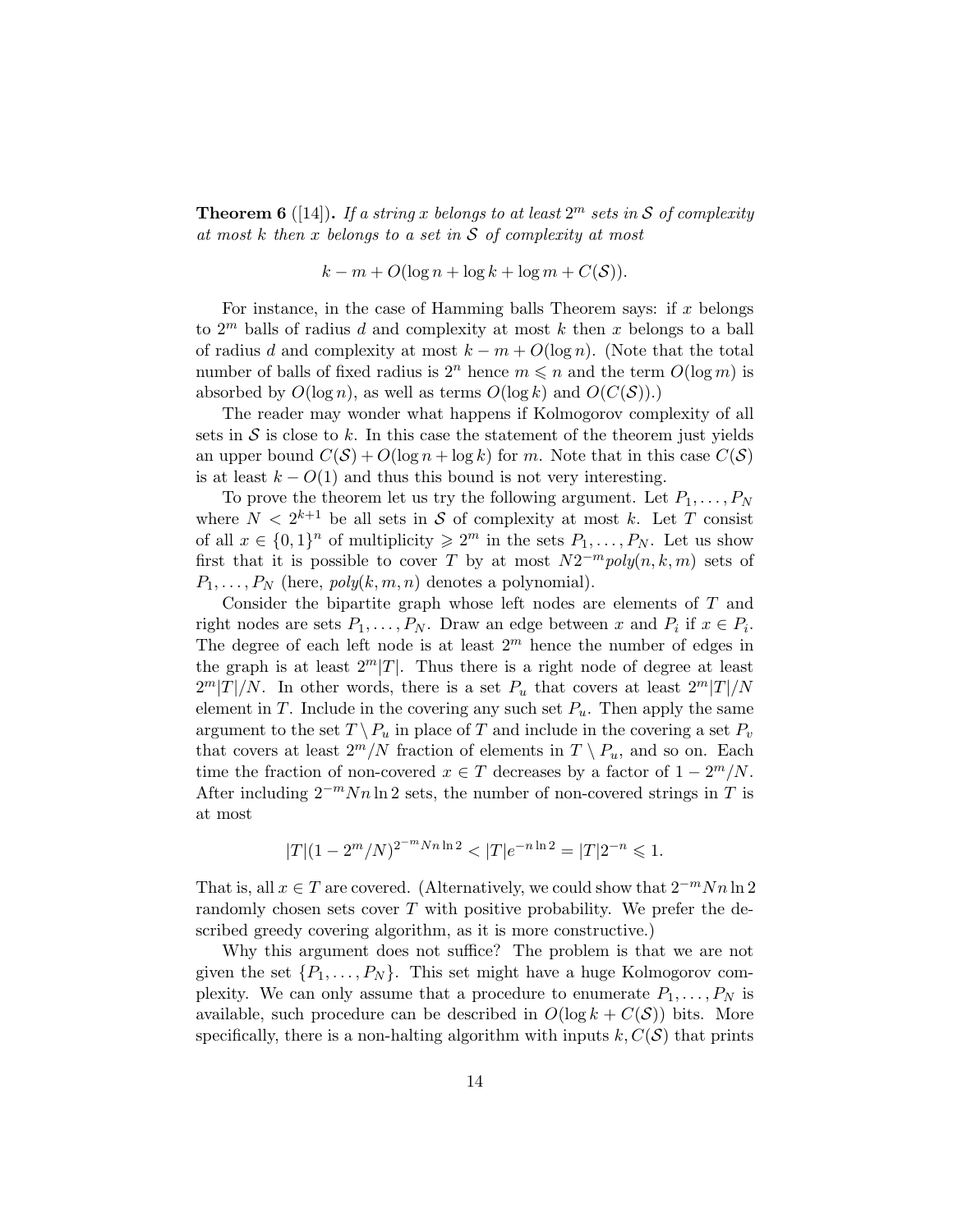**Theorem 6** ([14]). If a string x belongs to at least  $2^m$  sets in S of complexity at most  $k$  then  $x$  belongs to a set in  $S$  of complexity at most

$$
k - m + O(\log n + \log k + \log m + C(S)).
$$

For instance, in the case of Hamming balls Theorem says: if  $x$  belongs to  $2^m$  balls of radius d and complexity at most k then x belongs to a ball of radius d and complexity at most  $k - m + O(\log n)$ . (Note that the total number of balls of fixed radius is  $2^n$  hence  $m \leq n$  and the term  $O(\log m)$  is absorbed by  $O(\log n)$ , as well as terms  $O(\log k)$  and  $O(C(S))$ .

The reader may wonder what happens if Kolmogorov complexity of all sets in  $S$  is close to k. In this case the statement of the theorem just yields an upper bound  $C(S) + O(\log n + \log k)$  for m. Note that in this case  $C(S)$ is at least  $k - O(1)$  and thus this bound is not very interesting.

To prove the theorem let us try the following argument. Let  $P_1, \ldots, P_N$ where  $N < 2^{k+1}$  be all sets in S of complexity at most k. Let T consist of all  $x \in \{0,1\}^n$  of multiplicity  $\geq 2^m$  in the sets  $P_1, \ldots, P_N$ . Let us show first that it is possible to cover T by at most  $N2^{-m}poly(n, k, m)$  sets of  $P_1, \ldots, P_N$  (here,  $poly(k, m, n)$  denotes a polynomial).

Consider the bipartite graph whose left nodes are elements of T and right nodes are sets  $P_1, \ldots, P_N$ . Draw an edge between x and  $P_i$  if  $x \in P_i$ . The degree of each left node is at least  $2<sup>m</sup>$  hence the number of edges in the graph is at least  $2^m|T|$ . Thus there is a right node of degree at least  $2<sup>m</sup>|T|/N$ . In other words, there is a set  $P_u$  that covers at least  $2<sup>m</sup>|T|/N$ element in T. Include in the covering any such set  $P_u$ . Then apply the same argument to the set  $T \setminus P_u$  in place of T and include in the covering a set  $P_v$ that covers at least  $2^m/N$  fraction of elements in  $T \setminus P_u$ , and so on. Each time the fraction of non-covered  $x \in T$  decreases by a factor of  $1 - 2^m/N$ . After including  $2^{-m}Nn\ln 2$  sets, the number of non-covered strings in T is at most

$$
|T|(1 - 2m/N)^{2-m Nn \ln 2} < |T|e^{-n \ln 2} = |T|2^{-n} \le 1.
$$

That is, all  $x \in T$  are covered. (Alternatively, we could show that  $2^{-m}Nn\ln 2$ randomly chosen sets cover  $T$  with positive probability. We prefer the described greedy covering algorithm, as it is more constructive.)

Why this argument does not suffice? The problem is that we are not given the set  $\{P_1, \ldots, P_N\}$ . This set might have a huge Kolmogorov complexity. We can only assume that a procedure to enumerate  $P_1, \ldots, P_N$  is available, such procedure can be described in  $O(\log k + C(S))$  bits. More specifically, there is a non-halting algorithm with inputs  $k, C(S)$  that prints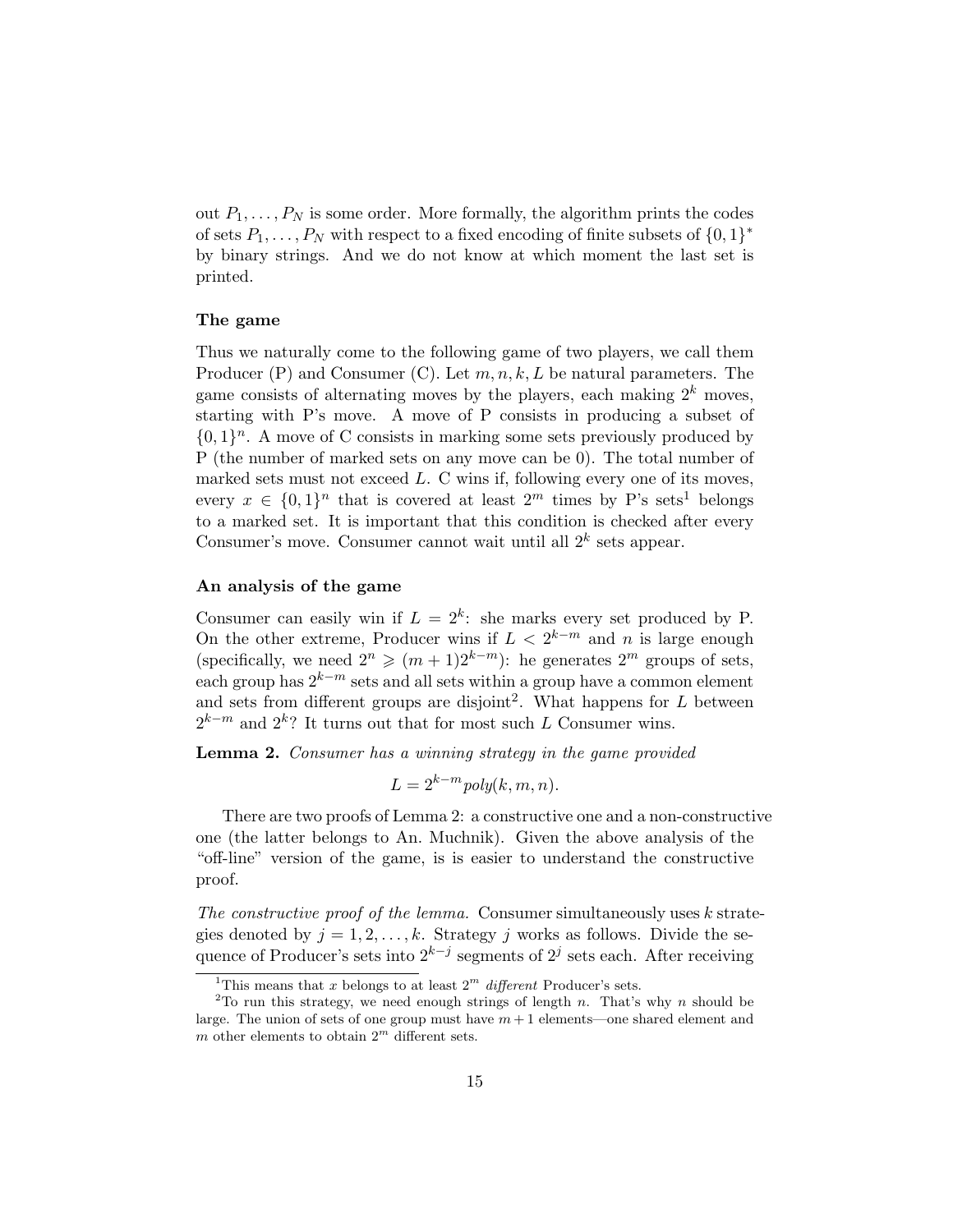out  $P_1, \ldots, P_N$  is some order. More formally, the algorithm prints the codes of sets  $P_1, \ldots, P_N$  with respect to a fixed encoding of finite subsets of  $\{0, 1\}^*$ by binary strings. And we do not know at which moment the last set is printed.

### The game

Thus we naturally come to the following game of two players, we call them Producer  $(P)$  and Consumer  $(C)$ . Let  $m, n, k, L$  be natural parameters. The game consists of alternating moves by the players, each making  $2^k$  moves, starting with P's move. A move of P consists in producing a subset of  $\{0,1\}^n$ . A move of C consists in marking some sets previously produced by P (the number of marked sets on any move can be 0). The total number of marked sets must not exceed  $L$ . C wins if, following every one of its moves, every  $x \in \{0,1\}^n$  that is covered at least  $2^m$  times by P's sets<sup>1</sup> belongs to a marked set. It is important that this condition is checked after every Consumer's move. Consumer cannot wait until all  $2^k$  sets appear.

### An analysis of the game

Consumer can easily win if  $L = 2^k$ : she marks every set produced by P. On the other extreme, Producer wins if  $L < 2^{k-m}$  and n is large enough (specifically, we need  $2^n \geq (m+1)2^{k-m}$ ): he generates  $2^m$  groups of sets, each group has  $2^{k-m}$  sets and all sets within a group have a common element and sets from different groups are disjoint<sup>2</sup>. What happens for  $L$  between  $2^{k-m}$  and  $2^k$ ? It turns out that for most such L Consumer wins.

Lemma 2. Consumer has a winning strategy in the game provided

$$
L = 2^{k-m} \text{poly}(k, m, n).
$$

There are two proofs of Lemma 2: a constructive one and a non-constructive one (the latter belongs to An. Muchnik). Given the above analysis of the "off-line" version of the game, is is easier to understand the constructive proof.

The constructive proof of the lemma. Consumer simultaneously uses  $k$  strategies denoted by  $j = 1, 2, \ldots, k$ . Strategy j works as follows. Divide the sequence of Producer's sets into  $2^{k-j}$  segments of  $2^j$  sets each. After receiving

<sup>&</sup>lt;sup>1</sup>This means that x belongs to at least  $2^m$  different Producer's sets.

<sup>&</sup>lt;sup>2</sup>To run this strategy, we need enough strings of length n. That's why n should be large. The union of sets of one group must have  $m + 1$  elements—one shared element and m other elements to obtain  $2^m$  different sets.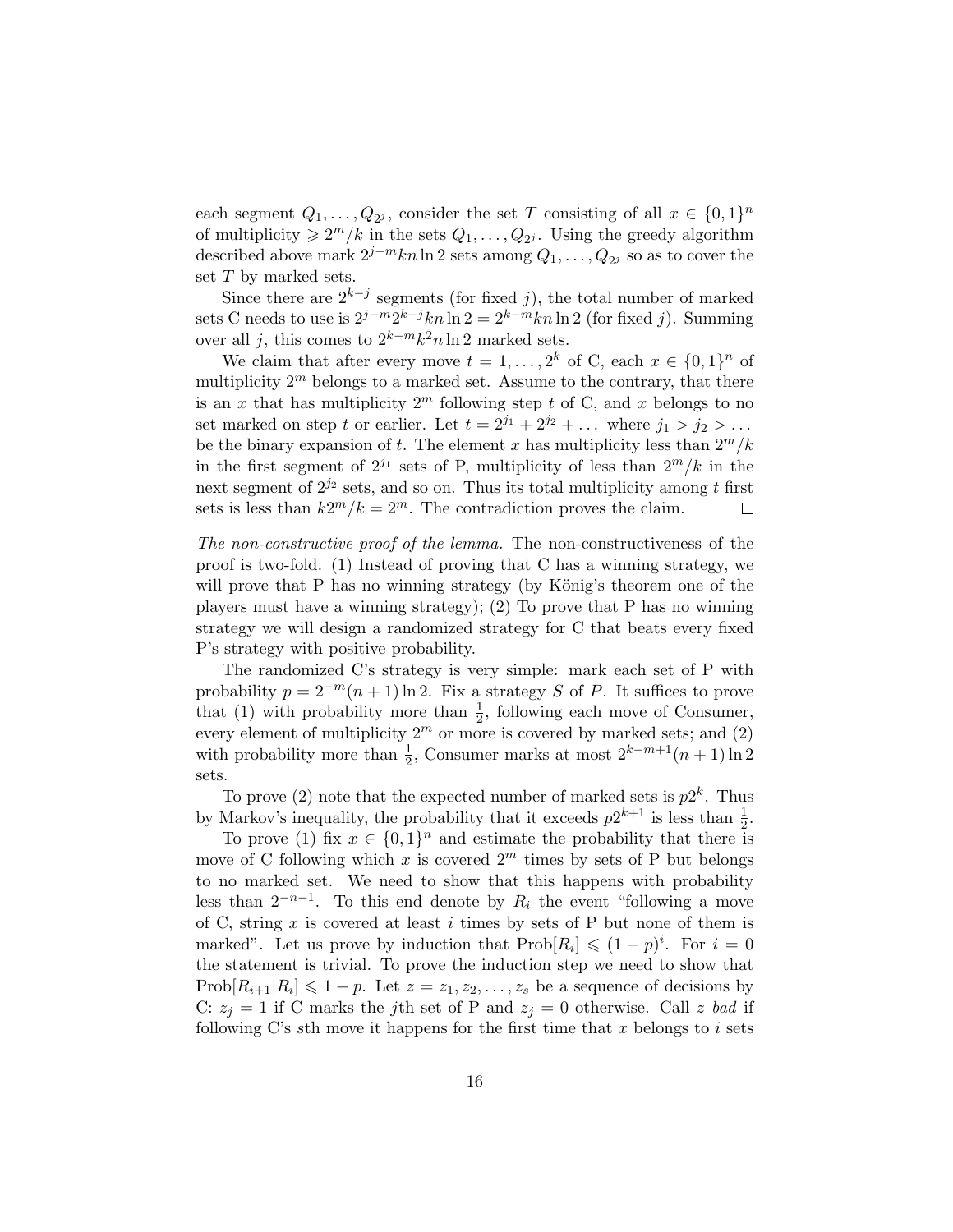each segment  $Q_1, \ldots, Q_{2^j}$ , consider the set T consisting of all  $x \in \{0,1\}^n$ of multiplicity  $\geq 2^m/k$  in the sets  $Q_1, \ldots, Q_{2^j}$ . Using the greedy algorithm described above mark  $2^{j-m}kn\ln 2$  sets among  $Q_1,\ldots,Q_{2^j}$  so as to cover the set T by marked sets.

Since there are  $2^{k-j}$  segments (for fixed j), the total number of marked sets C needs to use is  $2^{j-m}2^{k-j}kn\ln 2 = 2^{k-m}kn\ln 2$  (for fixed j). Summing over all j, this comes to  $2^{k-m}k^2n\ln 2$  marked sets.

We claim that after every move  $t = 1, \ldots, 2^k$  of C, each  $x \in \{0, 1\}^n$  of multiplicity  $2^m$  belongs to a marked set. Assume to the contrary, that there is an x that has multiplicity  $2^m$  following step t of C, and x belongs to no set marked on step t or earlier. Let  $t = 2^{j_1} + 2^{j_2} + \ldots$  where  $j_1 > j_2 > \ldots$ be the binary expansion of t. The element x has multiplicity less than  $2^m/k$ in the first segment of  $2^{j_1}$  sets of P, multiplicity of less than  $2^m/k$  in the next segment of  $2^{j_2}$  sets, and so on. Thus its total multiplicity among t first sets is less than  $k2^m/k = 2^m$ . The contradiction proves the claim.  $\Box$ 

The non-constructive proof of the lemma. The non-constructiveness of the proof is two-fold. (1) Instead of proving that C has a winning strategy, we will prove that  $P$  has no winning strategy (by König's theorem one of the players must have a winning strategy); (2) To prove that P has no winning strategy we will design a randomized strategy for C that beats every fixed P's strategy with positive probability.

The randomized C's strategy is very simple: mark each set of P with probability  $p = 2^{-m}(n+1) \ln 2$ . Fix a strategy S of P. It suffices to prove that (1) with probability more than  $\frac{1}{2}$ , following each move of Consumer, every element of multiplicity  $2^m$  or more is covered by marked sets; and (2) with probability more than  $\frac{1}{2}$ , Consumer marks at most  $2^{k-m+1}(n+1)\ln 2$ sets.

To prove (2) note that the expected number of marked sets is  $p2^k$ . Thus by Markov's inequality, the probability that it exceeds  $p2^{k+1}$  is less than  $\frac{1}{2}$ .

To prove (1) fix  $x \in \{0,1\}^n$  and estimate the probability that there is move of C following which x is covered  $2^m$  times by sets of P but belongs to no marked set. We need to show that this happens with probability less than  $2^{-n-1}$ . To this end denote by  $R_i$  the event "following a move of C, string  $x$  is covered at least  $i$  times by sets of P but none of them is marked". Let us prove by induction that  $\text{Prob}[R_i] \leq (1-p)^i$ . For  $i=0$ the statement is trivial. To prove the induction step we need to show that  $\text{Prob}[R_{i+1}|R_i] \leq 1-p$ . Let  $z = z_1, z_2, \ldots, z_s$  be a sequence of decisions by C:  $z_j = 1$  if C marks the jth set of P and  $z_j = 0$  otherwise. Call z bad if following C's sth move it happens for the first time that  $x$  belongs to  $i$  sets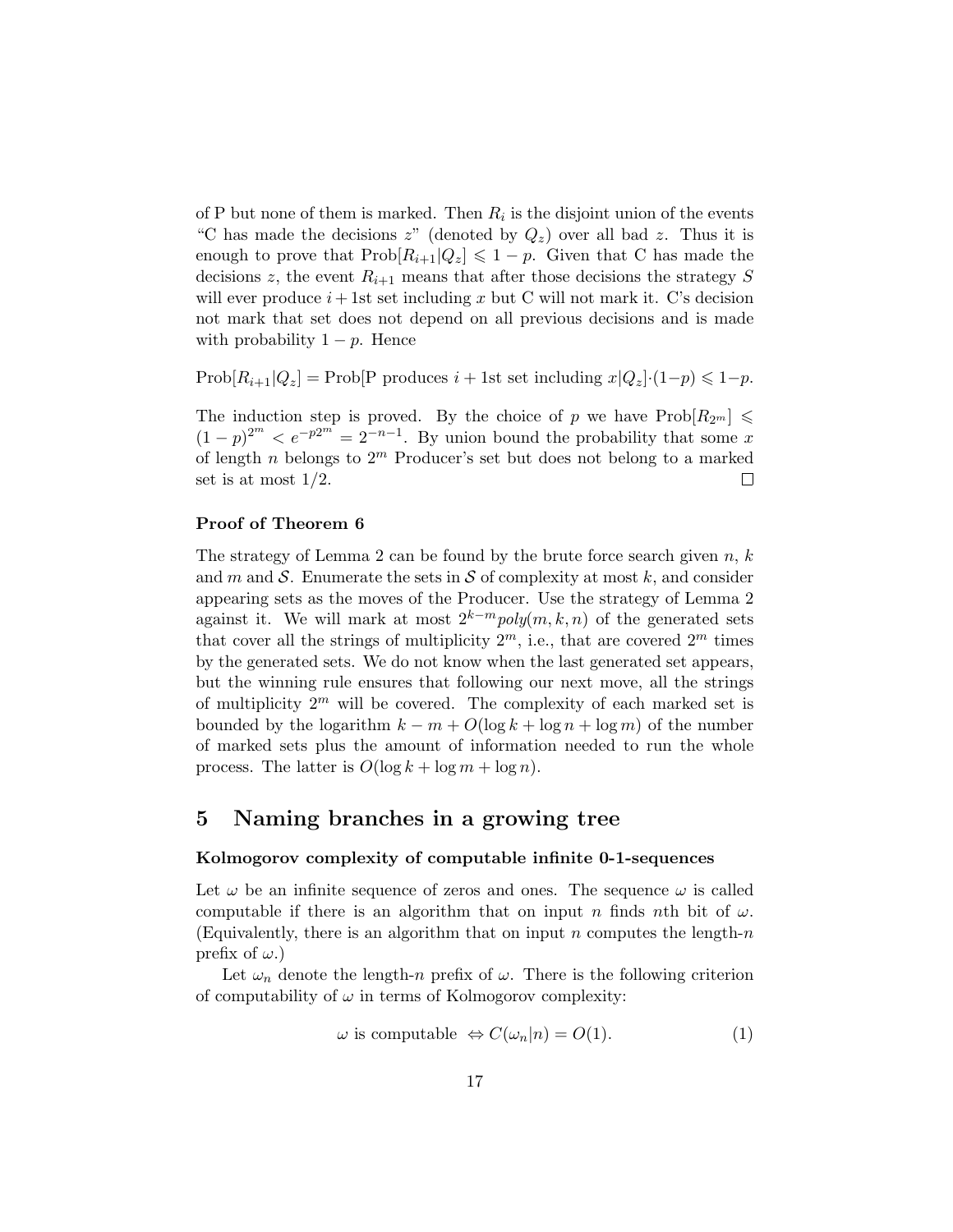of P but none of them is marked. Then  $R_i$  is the disjoint union of the events "C has made the decisions  $z$ " (denoted by  $Q_z$ ) over all bad z. Thus it is enough to prove that  $\text{Prob}[R_{i+1}|Q_z] \leq 1-p$ . Given that C has made the decisions z, the event  $R_{i+1}$  means that after those decisions the strategy S will ever produce  $i+1$ st set including x but C will not mark it. C's decision not mark that set does not depend on all previous decisions and is made with probability  $1 - p$ . Hence

Prob $[R_{i+1}|Q_z]$  = Prob[P produces  $i + 1$ st set including  $x|Q_z$ ]· $(1-p) \leq 1-p$ .

The induction step is proved. By the choice of p we have  $\text{Prob}[R_{2^m}] \leq$  $(1-p)^{2^m} < e^{-p2^m} = 2^{-n-1}$ . By union bound the probability that some x of length n belongs to  $2^m$  Producer's set but does not belong to a marked set is at most 1/2.  $\Box$ 

### Proof of Theorem 6

The strategy of Lemma 2 can be found by the brute force search given  $n, k$ and m and S. Enumerate the sets in S of complexity at most k, and consider appearing sets as the moves of the Producer. Use the strategy of Lemma 2 against it. We will mark at most  $2^{k-m} \text{poly}(m, k, n)$  of the generated sets that cover all the strings of multiplicity  $2^m$ , i.e., that are covered  $2^m$  times by the generated sets. We do not know when the last generated set appears, but the winning rule ensures that following our next move, all the strings of multiplicity  $2^m$  will be covered. The complexity of each marked set is bounded by the logarithm  $k - m + O(\log k + \log n + \log m)$  of the number of marked sets plus the amount of information needed to run the whole process. The latter is  $O(\log k + \log m + \log n)$ .

## 5 Naming branches in a growing tree

#### Kolmogorov complexity of computable infinite 0-1-sequences

Let  $\omega$  be an infinite sequence of zeros and ones. The sequence  $\omega$  is called computable if there is an algorithm that on input n finds nth bit of  $\omega$ . (Equivalently, there is an algorithm that on input n computes the length-n prefix of  $\omega$ .)

Let  $\omega_n$  denote the length-n prefix of  $\omega$ . There is the following criterion of computability of  $\omega$  in terms of Kolmogorov complexity:

$$
\omega \text{ is computable } \Leftrightarrow C(\omega_n|n) = O(1). \tag{1}
$$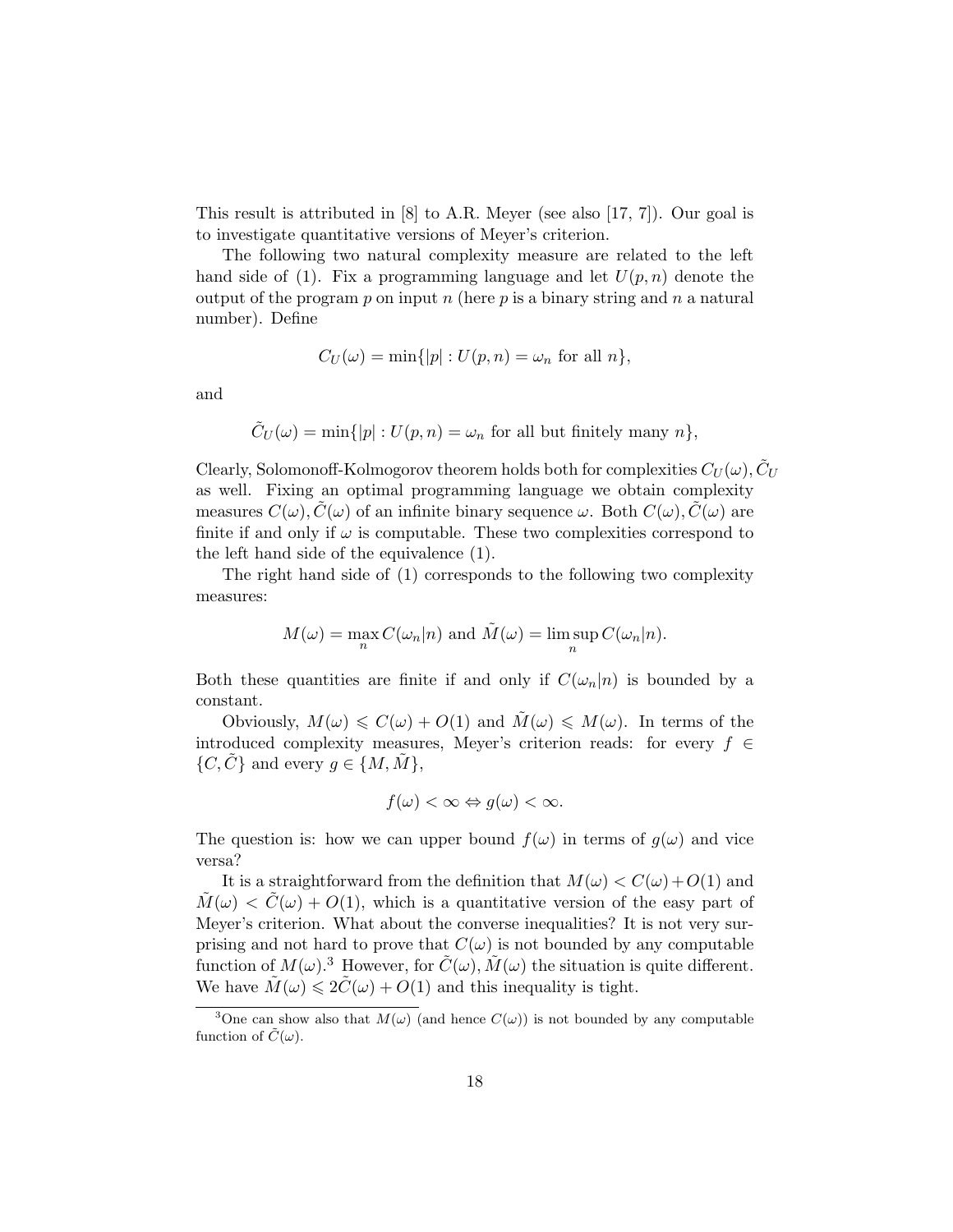This result is attributed in [8] to A.R. Meyer (see also [17, 7]). Our goal is to investigate quantitative versions of Meyer's criterion.

The following two natural complexity measure are related to the left hand side of (1). Fix a programming language and let  $U(p, n)$  denote the output of the program  $p$  on input  $n$  (here  $p$  is a binary string and  $n$  a natural number). Define

$$
C_U(\omega) = \min\{|p| : U(p, n) = \omega_n \text{ for all } n\},\
$$

and

$$
\tilde{C}_U(\omega) = \min\{|p| : U(p, n) = \omega_n \text{ for all but finitely many } n\},\
$$

Clearly, Solomonoff-Kolmogorov theorem holds both for complexities  $C_U(\omega), \tilde{C}_U$ as well. Fixing an optimal programming language we obtain complexity measures  $C(\omega)$ ,  $\hat{C}(\omega)$  of an infinite binary sequence  $\omega$ . Both  $C(\omega)$ ,  $\hat{C}(\omega)$  are finite if and only if  $\omega$  is computable. These two complexities correspond to the left hand side of the equivalence (1).

The right hand side of (1) corresponds to the following two complexity measures:

$$
M(\omega) = \max_{n} C(\omega_n|n)
$$
 and  $\tilde{M}(\omega) = \limsup_{n} C(\omega_n|n)$ .

Both these quantities are finite if and only if  $C(\omega_n|n)$  is bounded by a constant.

Obviously,  $M(\omega) \leq C(\omega) + O(1)$  and  $M(\omega) \leq M(\omega)$ . In terms of the introduced complexity measures, Meyer's criterion reads: for every  $f \in$  $\{C, \tilde{C}\}\$  and every  $g \in \{M, \tilde{M}\},\$ 

$$
f(\omega) < \infty \Leftrightarrow g(\omega) < \infty.
$$

The question is: how we can upper bound  $f(\omega)$  in terms of  $g(\omega)$  and vice versa?

It is a straightforward from the definition that  $M(\omega) < C(\omega) + O(1)$  and  $M(\omega) < C(\omega) + O(1)$ , which is a quantitative version of the easy part of Meyer's criterion. What about the converse inequalities? It is not very surprising and not hard to prove that  $C(\omega)$  is not bounded by any computable function of  $M(\omega)$ .<sup>3</sup> However, for  $\tilde{C}(\omega)$ ,  $\tilde{M}(\omega)$  the situation is quite different. We have  $\tilde{M}(\omega) \leq 2\tilde{C}(\omega) + O(1)$  and this inequality is tight.

<sup>&</sup>lt;sup>3</sup>One can show also that  $M(\omega)$  (and hence  $C(\omega)$ ) is not bounded by any computable function of  $\tilde{C}(\omega)$ .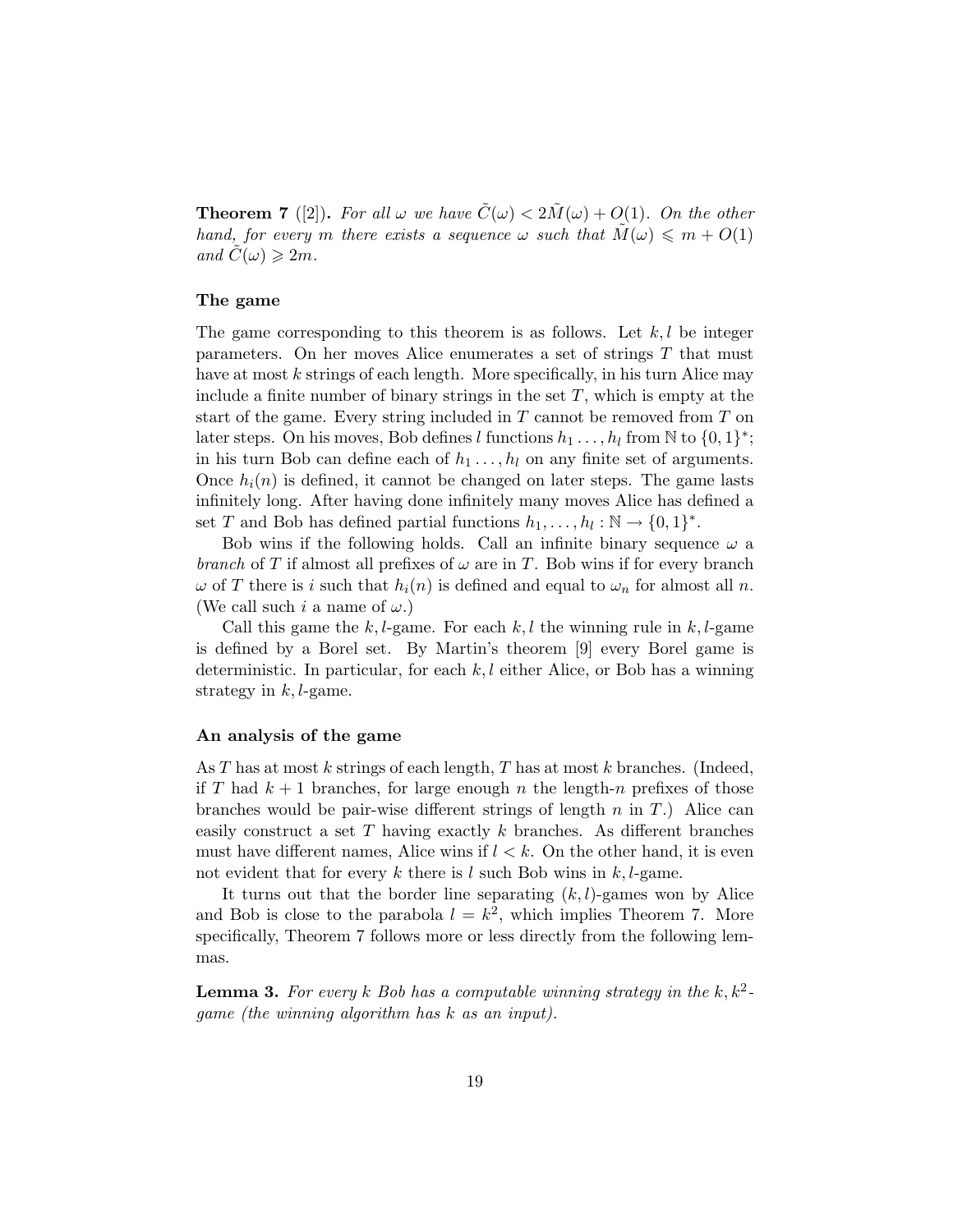**Theorem 7** ([2]). For all  $\omega$  we have  $\tilde{C}(\omega) < 2\tilde{M}(\omega) + O(1)$ . On the other hand, for every m there exists a sequence  $\omega$  such that  $M(\omega) \leq m + O(1)$ and  $C(\omega) \geqslant 2m$ .

### The game

The game corresponding to this theorem is as follows. Let  $k, l$  be integer parameters. On her moves Alice enumerates a set of strings T that must have at most  $k$  strings of each length. More specifically, in his turn Alice may include a finite number of binary strings in the set  $T$ , which is empty at the start of the game. Every string included in  $T$  cannot be removed from  $T$  on later steps. On his moves, Bob defines l functions  $h_1 \dots, h_l$  from  $\mathbb N$  to  $\{0,1\}^*$ ; in his turn Bob can define each of  $h_1 \ldots, h_l$  on any finite set of arguments. Once  $h_i(n)$  is defined, it cannot be changed on later steps. The game lasts infinitely long. After having done infinitely many moves Alice has defined a set T and Bob has defined partial functions  $h_1, \ldots, h_l : \mathbb{N} \to \{0, 1\}^*$ .

Bob wins if the following holds. Call an infinite binary sequence  $\omega$  a branch of T if almost all prefixes of  $\omega$  are in T. Bob wins if for every branch  $\omega$  of T there is i such that  $h_i(n)$  is defined and equal to  $\omega_n$  for almost all n. (We call such i a name of  $\omega$ .)

Call this game the k, l-game. For each k, l the winning rule in k, l-game is defined by a Borel set. By Martin's theorem [9] every Borel game is deterministic. In particular, for each  $k, l$  either Alice, or Bob has a winning strategy in  $k, l$ -game.

### An analysis of the game

As  $T$  has at most  $k$  strings of each length,  $T$  has at most  $k$  branches. (Indeed, if T had  $k+1$  branches, for large enough n the length-n prefixes of those branches would be pair-wise different strings of length  $n$  in  $T$ .) Alice can easily construct a set  $T$  having exactly  $k$  branches. As different branches must have different names, Alice wins if  $l < k$ . On the other hand, it is even not evident that for every k there is l such Bob wins in  $k, l$ -game.

It turns out that the border line separating  $(k, l)$ -games won by Alice and Bob is close to the parabola  $l = k^2$ , which implies Theorem 7. More specifically, Theorem 7 follows more or less directly from the following lemmas.

**Lemma 3.** For every k Bob has a computable winning strategy in the  $k, k^2$ . game (the winning algorithm has k as an input).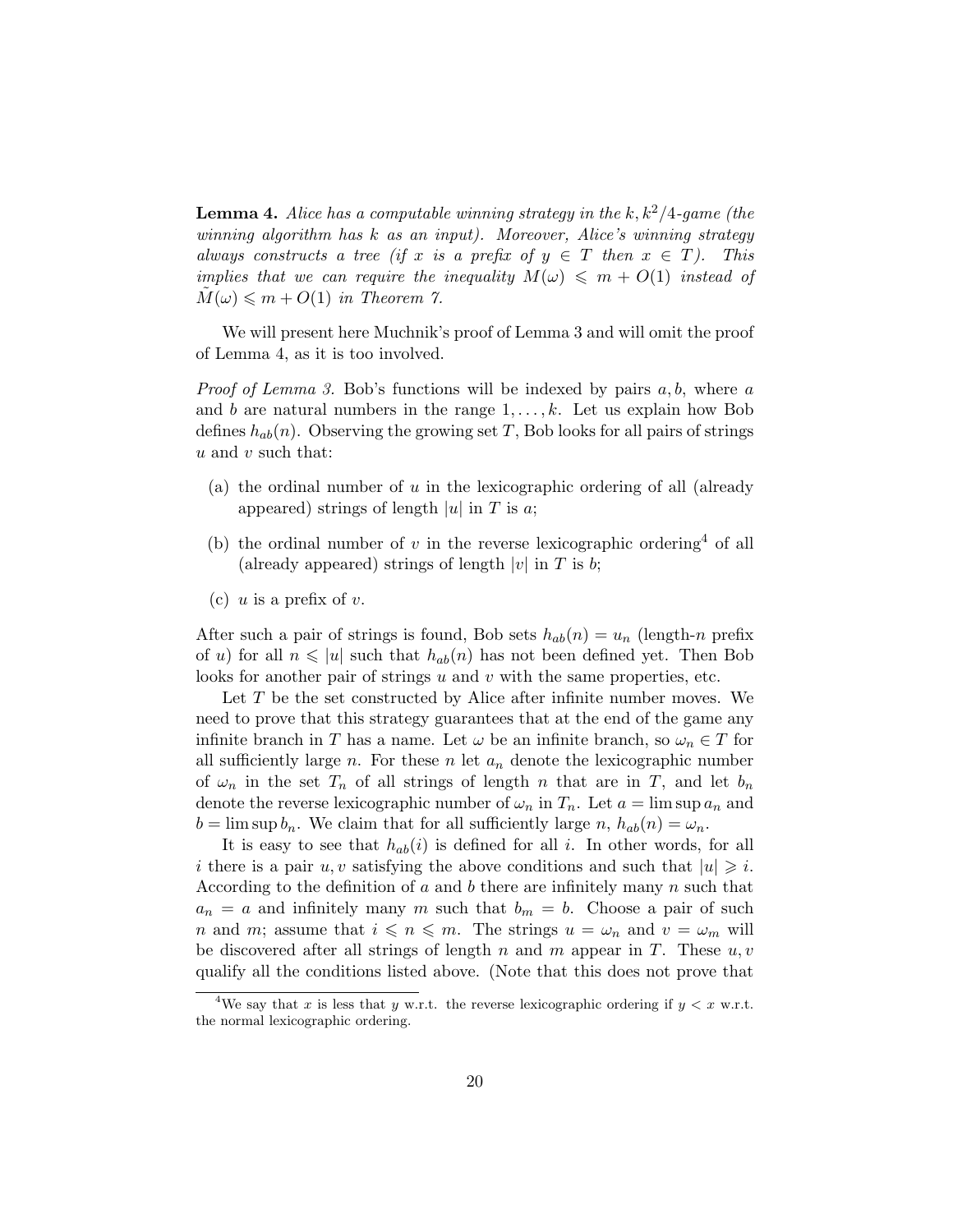**Lemma 4.** Alice has a computable winning strategy in the k,  $k^2/4$ -game (the winning algorithm has k as an input). Moreover, Alice's winning strategy always constructs a tree (if x is a prefix of  $y \in T$  then  $x \in T$ ). This implies that we can require the inequality  $M(\omega) \leq m + O(1)$  instead of  $M(\omega) \leq m + O(1)$  in Theorem 7.

We will present here Muchnik's proof of Lemma 3 and will omit the proof of Lemma 4, as it is too involved.

*Proof of Lemma 3.* Bob's functions will be indexed by pairs  $a, b$ , where  $a$ and b are natural numbers in the range  $1, \ldots, k$ . Let us explain how Bob defines  $h_{ab}(n)$ . Observing the growing set T, Bob looks for all pairs of strings  $u$  and  $v$  such that:

- (a) the ordinal number of  $u$  in the lexicographic ordering of all (already appeared) strings of length  $|u|$  in T is a;
- (b) the ordinal number of v in the reverse lexicographic ordering<sup>4</sup> of all (already appeared) strings of length |v| in T is b;
- (c) u is a prefix of v.

After such a pair of strings is found, Bob sets  $h_{ab}(n) = u_n$  (length-n prefix of u) for all  $n \leq |u|$  such that  $h_{ab}(n)$  has not been defined yet. Then Bob looks for another pair of strings  $u$  and  $v$  with the same properties, etc.

Let T be the set constructed by Alice after infinite number moves. We need to prove that this strategy guarantees that at the end of the game any infinite branch in T has a name. Let  $\omega$  be an infinite branch, so  $\omega_n \in T$  for all sufficiently large  $n$ . For these  $n$  let  $a_n$  denote the lexicographic number of  $\omega_n$  in the set  $T_n$  of all strings of length n that are in T, and let  $b_n$ denote the reverse lexicographic number of  $\omega_n$  in  $T_n$ . Let  $a = \limsup a_n$  and  $b = \limsup b_n$ . We claim that for all sufficiently large n,  $h_{ab}(n) = \omega_n$ .

It is easy to see that  $h_{ab}(i)$  is defined for all i. In other words, for all i there is a pair u, v satisfying the above conditions and such that  $|u| \geq i$ . According to the definition of a and b there are infinitely many  $n$  such that  $a_n = a$  and infinitely many m such that  $b_m = b$ . Choose a pair of such n and m; assume that  $i \leq n \leq m$ . The strings  $u = \omega_n$  and  $v = \omega_m$  will be discovered after all strings of length n and m appear in T. These  $u, v$ qualify all the conditions listed above. (Note that this does not prove that

<sup>&</sup>lt;sup>4</sup>We say that x is less that y w.r.t. the reverse lexicographic ordering if  $y < x$  w.r.t. the normal lexicographic ordering.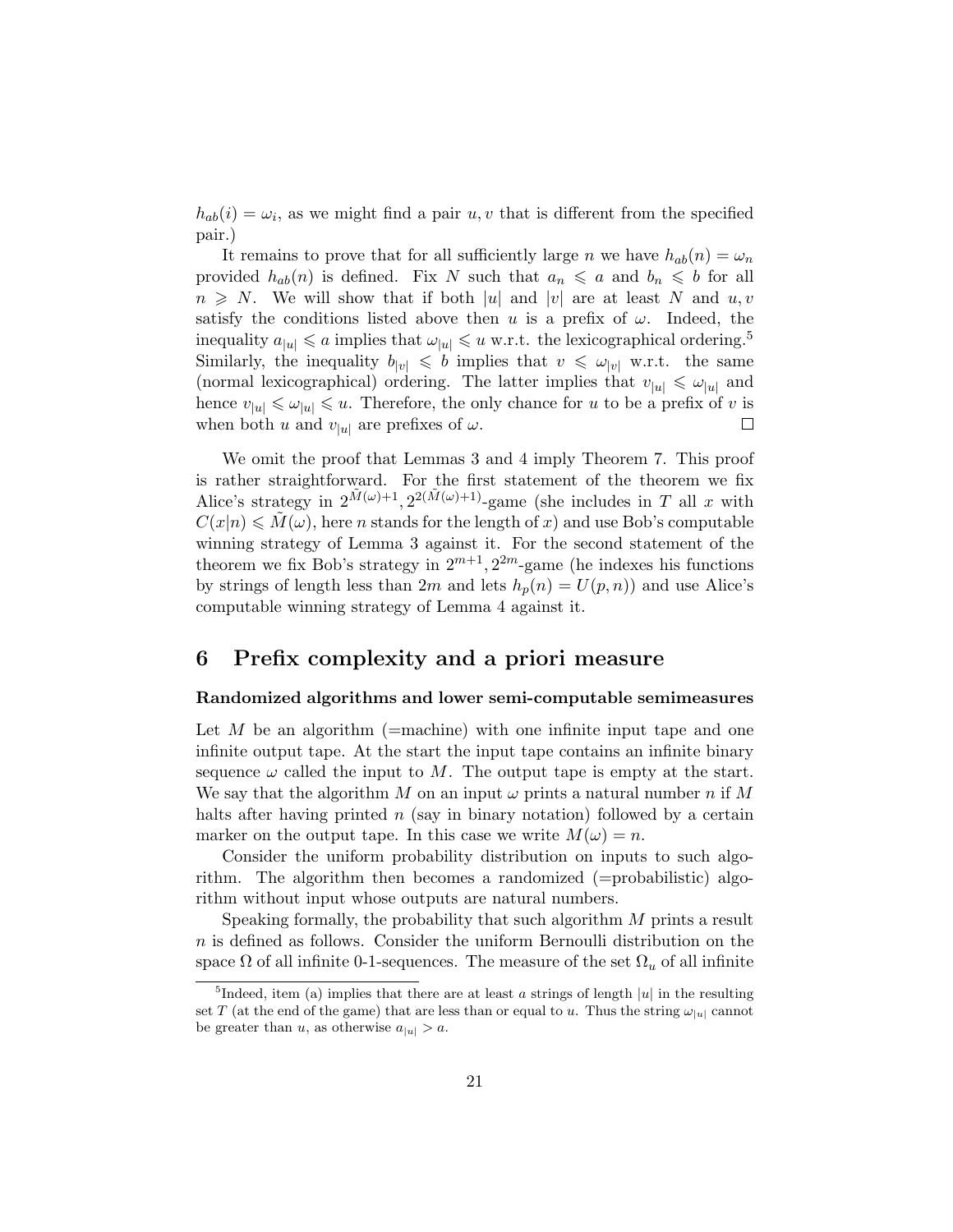$h_{ab}(i) = \omega_i$ , as we might find a pair  $u, v$  that is different from the specified pair.)

It remains to prove that for all sufficiently large n we have  $h_{ab}(n) = \omega_n$ provided  $h_{ab}(n)$  is defined. Fix N such that  $a_n \leq a$  and  $b_n \leq b$  for all  $n \geq N$ . We will show that if both |u| and |v| are at least N and u, v satisfy the conditions listed above then u is a prefix of  $\omega$ . Indeed, the inequality  $a_{|u|} \leq a$  implies that  $\omega_{|u|} \leq u$  w.r.t. the lexicographical ordering.<sup>5</sup> Similarly, the inequality  $b_{|v|} \leq b$  implies that  $v \leq \omega_{|v|}$  w.r.t. the same (normal lexicographical) ordering. The latter implies that  $v_{|u|} \leq \omega_{|u|}$  and hence  $v_{|u|} \leq v_{|u|} \leq u$ . Therefore, the only chance for u to be a prefix of v is when both u and  $v_{|u|}$  are prefixes of  $\omega$ .  $\Box$ 

We omit the proof that Lemmas 3 and 4 imply Theorem 7. This proof is rather straightforward. For the first statement of the theorem we fix Alice's strategy in  $2^{\tilde{M}(\omega)+1}$ ,  $2^{2(\tilde{M}(\omega)+1)}$ -game (she includes in T all x with  $C(x|n) \leq \tilde{M}(\omega)$ , here n stands for the length of x) and use Bob's computable winning strategy of Lemma 3 against it. For the second statement of the theorem we fix Bob's strategy in  $2^{m+1}$ ,  $2^{2m}$ -game (he indexes his functions by strings of length less than  $2m$  and lets  $h_p(n) = U(p, n)$  and use Alice's computable winning strategy of Lemma 4 against it.

## 6 Prefix complexity and a priori measure

### Randomized algorithms and lower semi-computable semimeasures

Let  $M$  be an algorithm (=machine) with one infinite input tape and one infinite output tape. At the start the input tape contains an infinite binary sequence  $\omega$  called the input to M. The output tape is empty at the start. We say that the algorithm M on an input  $\omega$  prints a natural number n if M halts after having printed  $n$  (say in binary notation) followed by a certain marker on the output tape. In this case we write  $M(\omega) = n$ .

Consider the uniform probability distribution on inputs to such algorithm. The algorithm then becomes a randomized (=probabilistic) algorithm without input whose outputs are natural numbers.

Speaking formally, the probability that such algorithm M prints a result  $n$  is defined as follows. Consider the uniform Bernoulli distribution on the space  $\Omega$  of all infinite 0-1-sequences. The measure of the set  $\Omega_u$  of all infinite

<sup>&</sup>lt;sup>5</sup>Indeed, item (a) implies that there are at least a strings of length  $|u|$  in the resulting set T (at the end of the game) that are less than or equal to u. Thus the string  $\omega_{|u|}$  cannot be greater than u, as otherwise  $a_{|u|} > a$ .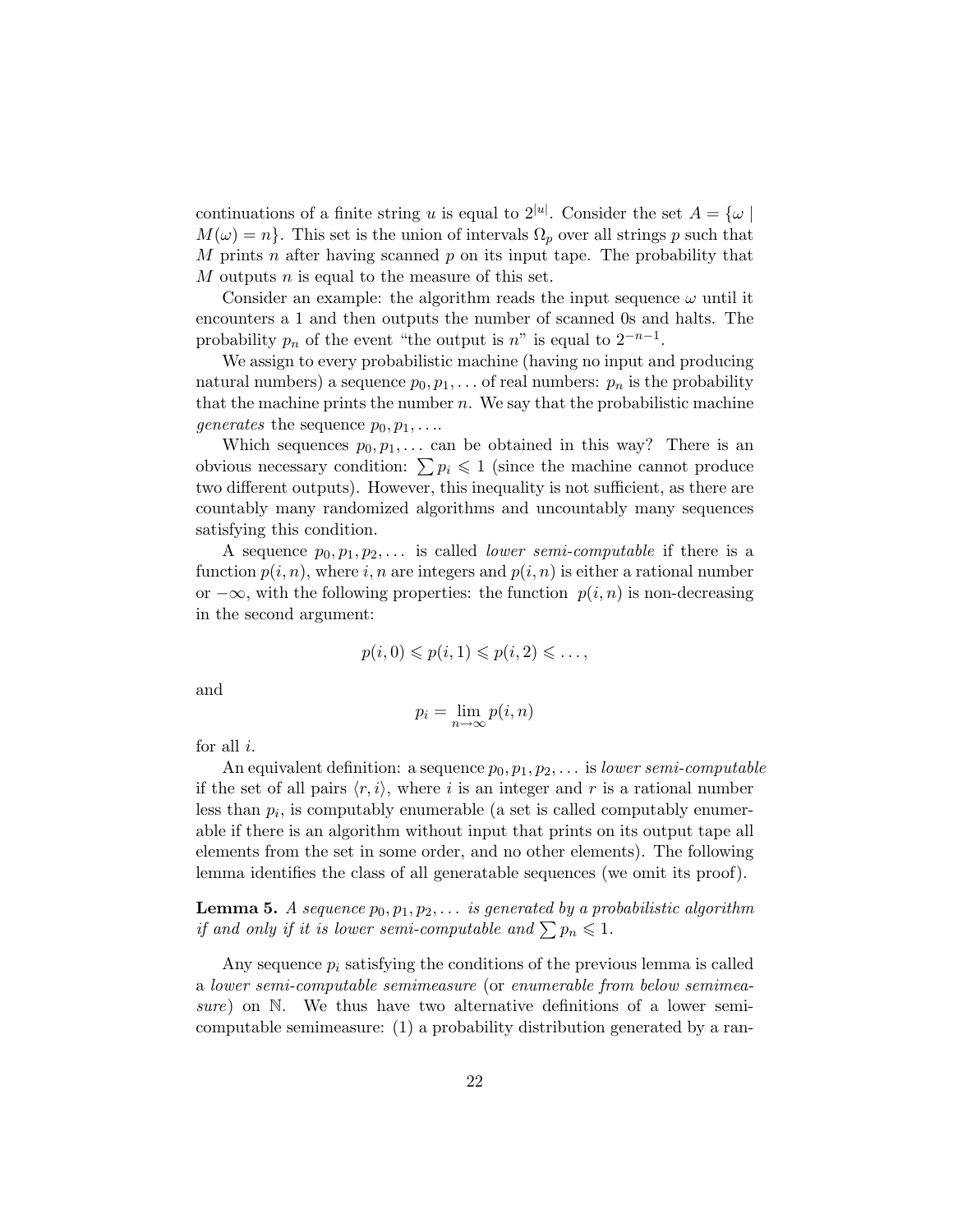continuations of a finite string u is equal to  $2^{|u|}$ . Consider the set  $A = \{ \omega \mid$  $M(\omega) = n$ . This set is the union of intervals  $\Omega_p$  over all strings p such that M prints n after having scanned  $p$  on its input tape. The probability that M outputs n is equal to the measure of this set.

Consider an example: the algorithm reads the input sequence  $\omega$  until it encounters a 1 and then outputs the number of scanned 0s and halts. The probability  $p_n$  of the event "the output is n" is equal to  $2^{-n-1}$ .

We assign to every probabilistic machine (having no input and producing natural numbers) a sequence  $p_0, p_1, \ldots$  of real numbers:  $p_n$  is the probability that the machine prints the number  $n$ . We say that the probabilistic machine *generates* the sequence  $p_0, p_1, \ldots$ 

Which sequences  $p_0, p_1, \ldots$  can be obtained in this way? There is an obvious necessary condition:  $\sum p_i \leq 1$  (since the machine cannot produce two different outputs). However, this inequality is not sufficient, as there are countably many randomized algorithms and uncountably many sequences satisfying this condition.

A sequence  $p_0, p_1, p_2, \ldots$  is called *lower semi-computable* if there is a function  $p(i, n)$ , where i, n are integers and  $p(i, n)$  is either a rational number or  $-\infty$ , with the following properties: the function  $p(i, n)$  is non-decreasing in the second argument:

$$
p(i,0) \leqslant p(i,1) \leqslant p(i,2) \leqslant \ldots,
$$

and

$$
p_i = \lim_{n \to \infty} p(i, n)
$$

for all  $i$ .

An equivalent definition: a sequence  $p_0, p_1, p_2, \ldots$  is lower semi-computable if the set of all pairs  $\langle r, i \rangle$ , where i is an integer and r is a rational number less than  $p_i$ , is computably enumerable (a set is called computably enumerable if there is an algorithm without input that prints on its output tape all elements from the set in some order, and no other elements). The following lemma identifies the class of all generatable sequences (we omit its proof).

**Lemma 5.** A sequence  $p_0, p_1, p_2, \ldots$  is generated by a probabilistic algorithm if and only if it is lower semi-computable and  $\sum p_n \leqslant 1$ .

Any sequence  $p_i$  satisfying the conditions of the previous lemma is called a lower semi-computable semimeasure (or enumerable from below semimeasure) on N. We thus have two alternative definitions of a lower semicomputable semimeasure: (1) a probability distribution generated by a ran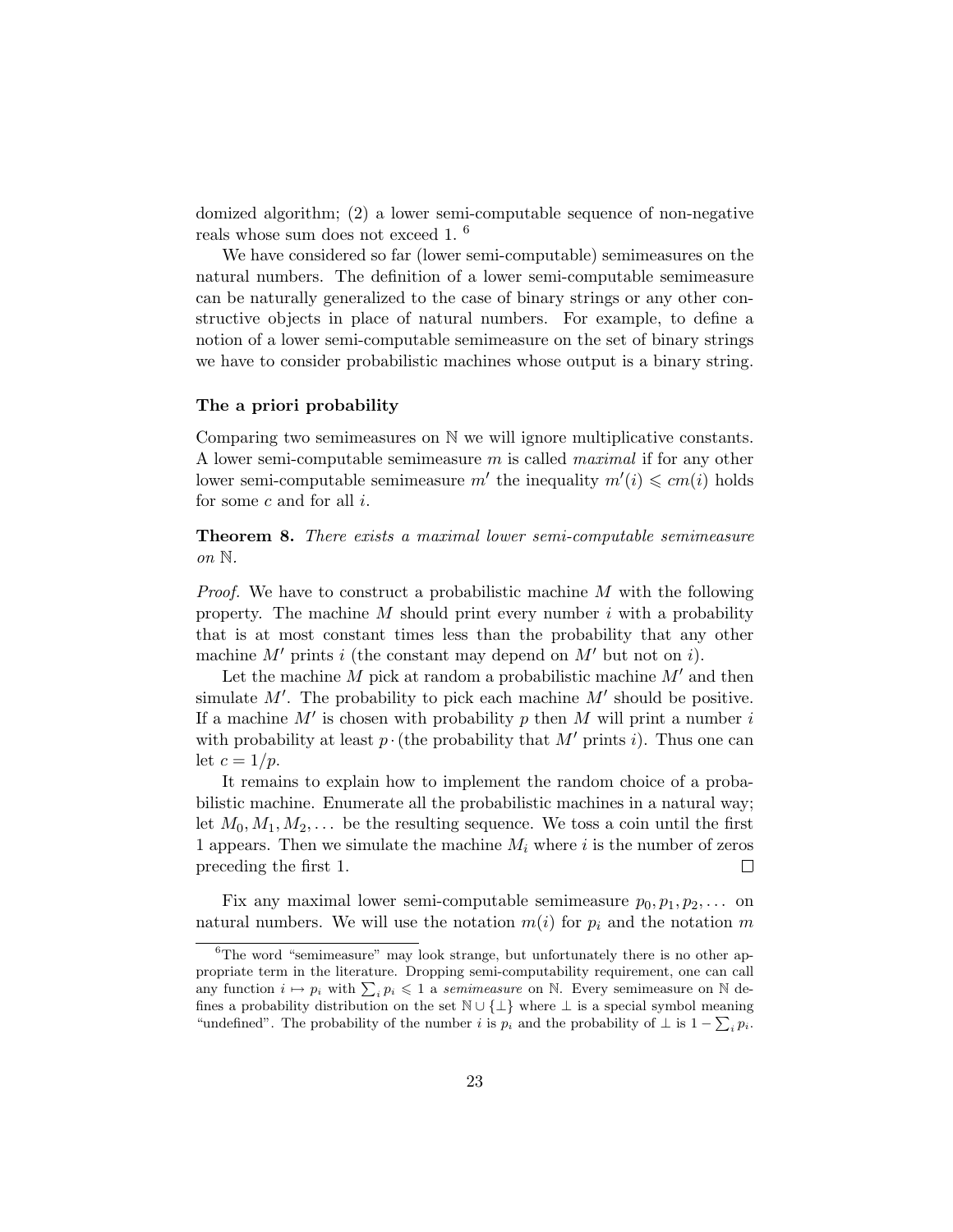domized algorithm; (2) a lower semi-computable sequence of non-negative reals whose sum does not exceed 1. <sup>6</sup>

We have considered so far (lower semi-computable) semimeasures on the natural numbers. The definition of a lower semi-computable semimeasure can be naturally generalized to the case of binary strings or any other constructive objects in place of natural numbers. For example, to define a notion of a lower semi-computable semimeasure on the set of binary strings we have to consider probabilistic machines whose output is a binary string.

### The a priori probability

Comparing two semimeasures on N we will ignore multiplicative constants. A lower semi-computable semimeasure m is called maximal if for any other lower semi-computable semimeasure m' the inequality  $m'(i) \leq c m(i)$  holds for some  $c$  and for all  $i$ .

Theorem 8. There exists a maximal lower semi-computable semimeasure on N.

*Proof.* We have to construct a probabilistic machine  $M$  with the following property. The machine  $M$  should print every number  $i$  with a probability that is at most constant times less than the probability that any other machine M' prints i (the constant may depend on  $M'$  but not on i).

Let the machine  $M$  pick at random a probabilistic machine  $M'$  and then simulate  $M'$ . The probability to pick each machine  $M'$  should be positive. If a machine  $M'$  is chosen with probability p then M will print a number i with probability at least  $p \cdot ($ the probability that  $M'$  prints i). Thus one can let  $c = 1/p$ .

It remains to explain how to implement the random choice of a probabilistic machine. Enumerate all the probabilistic machines in a natural way; let  $M_0, M_1, M_2, \ldots$  be the resulting sequence. We toss a coin until the first 1 appears. Then we simulate the machine  $M_i$  where i is the number of zeros preceding the first 1.  $\Box$ 

Fix any maximal lower semi-computable semimeasure  $p_0, p_1, p_2, \ldots$  on natural numbers. We will use the notation  $m(i)$  for  $p_i$  and the notation m

 ${}^{6}$ The word "semimeasure" may look strange, but unfortunately there is no other appropriate term in the literature. Dropping semi-computability requirement, one can call any function  $i \mapsto p_i$  with  $\sum_i p_i \leqslant 1$  a semimeasure on N. Every semimeasure on N defines a probability distribution on the set  $\mathbb{N} \cup {\perp}$  where  $\perp$  is a special symbol meaning "undefined". The probability of the number *i* is  $p_i$  and the probability of  $\perp$  is  $1 - \sum_i p_i$ .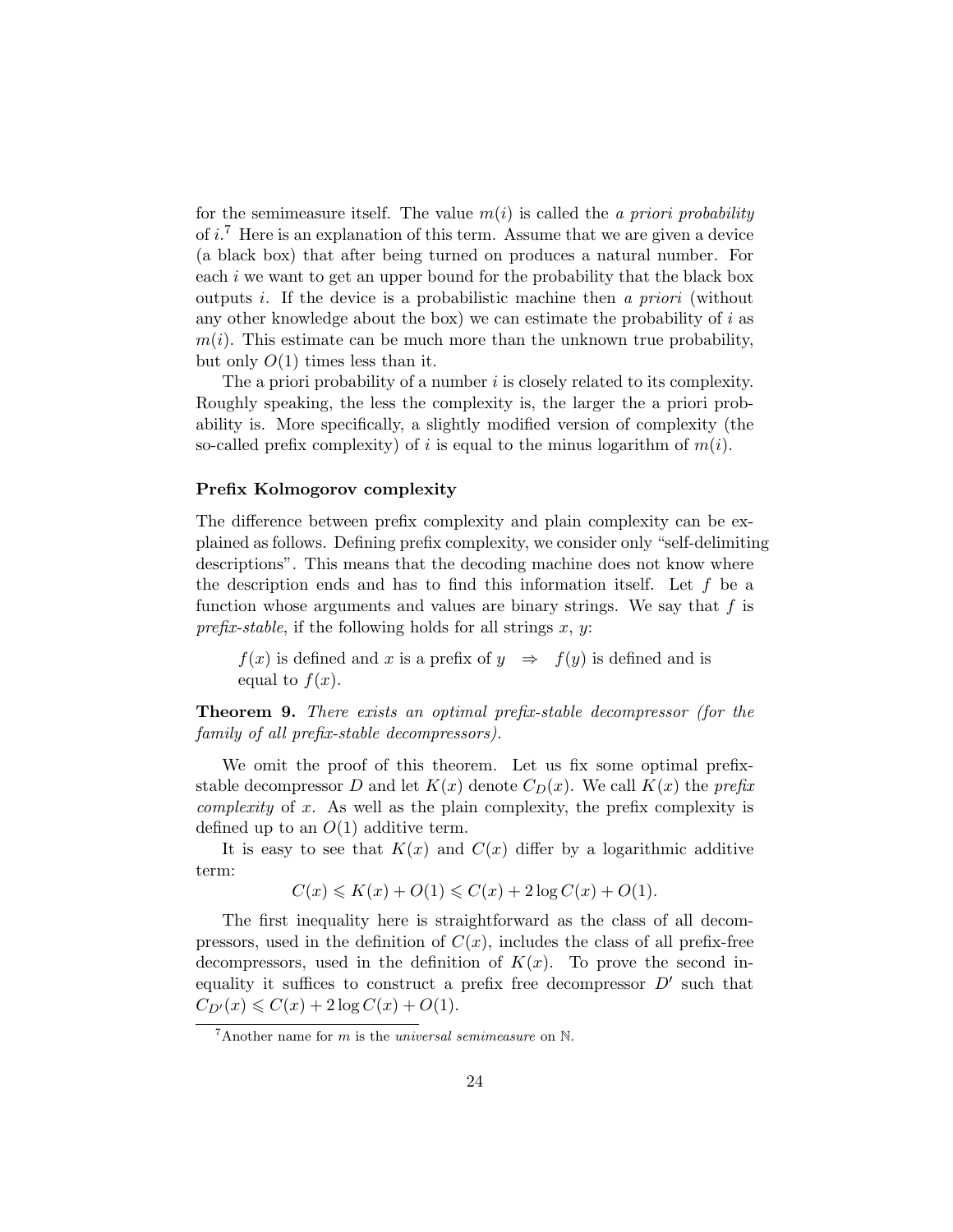for the semimeasure itself. The value  $m(i)$  is called the a priori probability of *i*.<sup>7</sup> Here is an explanation of this term. Assume that we are given a device (a black box) that after being turned on produces a natural number. For each i we want to get an upper bound for the probability that the black box outputs i. If the device is a probabilistic machine then a priori (without any other knowledge about the box) we can estimate the probability of  $i$  as  $m(i)$ . This estimate can be much more than the unknown true probability, but only  $O(1)$  times less than it.

The a priori probability of a number  $i$  is closely related to its complexity. Roughly speaking, the less the complexity is, the larger the a priori probability is. More specifically, a slightly modified version of complexity (the so-called prefix complexity) of i is equal to the minus logarithm of  $m(i)$ .

#### Prefix Kolmogorov complexity

The difference between prefix complexity and plain complexity can be explained as follows. Defining prefix complexity, we consider only "self-delimiting descriptions". This means that the decoding machine does not know where the description ends and has to find this information itself. Let  $f$  be a function whose arguments and values are binary strings. We say that  $f$  is prefix-stable, if the following holds for all strings x, y:

 $f(x)$  is defined and x is a prefix of  $y \Rightarrow f(y)$  is defined and is equal to  $f(x)$ .

Theorem 9. There exists an optimal prefix-stable decompressor (for the family of all prefix-stable decompressors).

We omit the proof of this theorem. Let us fix some optimal prefixstable decompressor D and let  $K(x)$  denote  $C_D(x)$ . We call  $K(x)$  the prefix complexity of x. As well as the plain complexity, the prefix complexity is defined up to an  $O(1)$  additive term.

It is easy to see that  $K(x)$  and  $C(x)$  differ by a logarithmic additive term:

$$
C(x) \leqslant K(x) + O(1) \leqslant C(x) + 2\log C(x) + O(1).
$$

The first inequality here is straightforward as the class of all decompressors, used in the definition of  $C(x)$ , includes the class of all prefix-free decompressors, used in the definition of  $K(x)$ . To prove the second inequality it suffices to construct a prefix free decompressor  $D'$  such that  $C_{D'}(x) \leq C(x) + 2 \log C(x) + O(1).$ 

 $7$ Another name for m is the *universal semimeasure* on  $\mathbb{N}$ .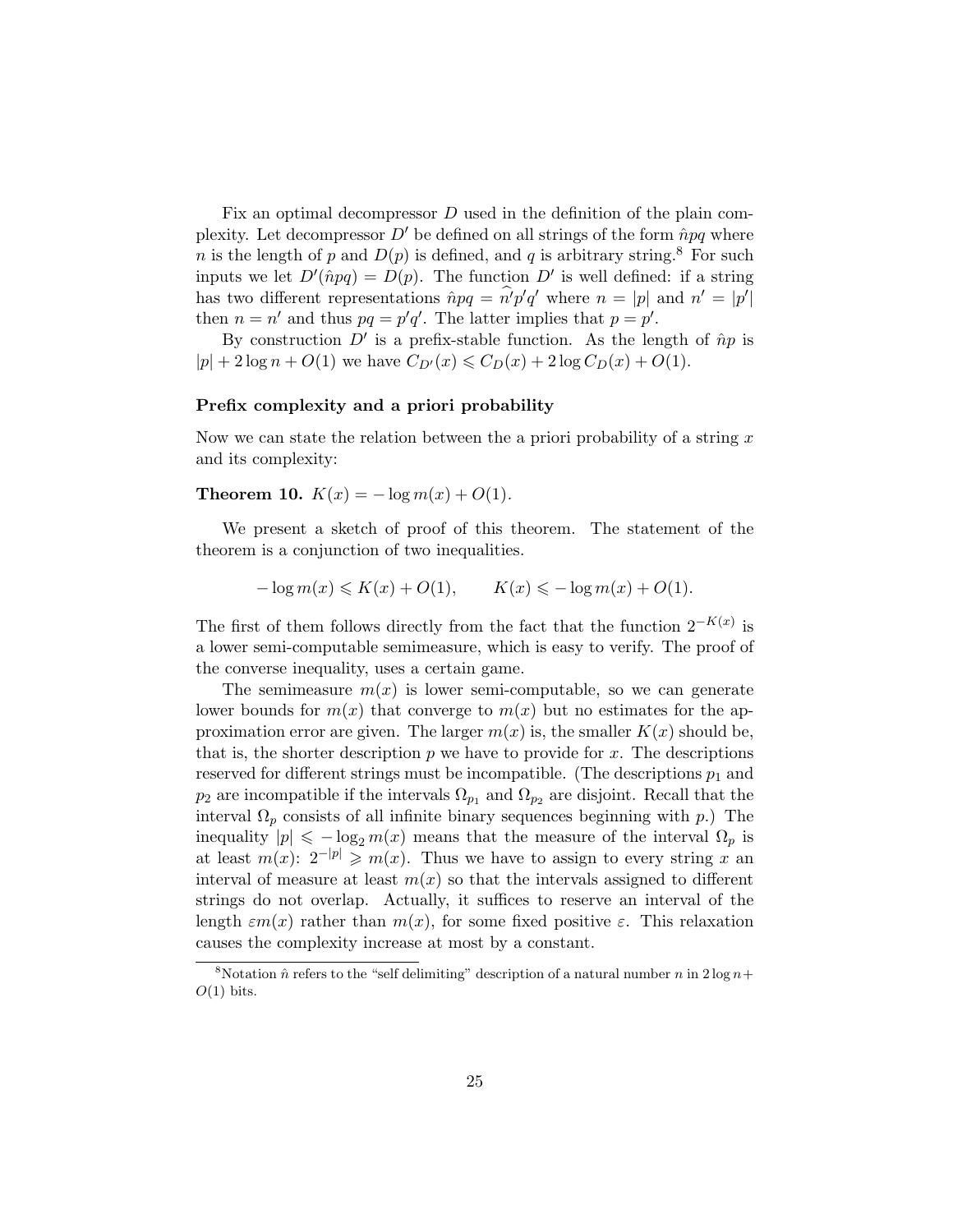Fix an optimal decompressor  $D$  used in the definition of the plain complexity. Let decompressor  $D'$  be defined on all strings of the form  $\hat{n}pq$  where n is the length of p and  $D(p)$  is defined, and q is arbitrary string.<sup>8</sup> For such inputs we let  $D'(\hat{n}pq) = D(p)$ . The function  $D'$  is well defined: if a string has two different representations  $\hat{n}pq = \hat{n}'p'q'$  where  $n = |p|$  and  $n' = |p'|$ then  $n = n'$  and thus  $pq = p'q'$ . The latter implies that  $p = p'$ .

By construction  $D'$  is a prefix-stable function. As the length of  $\hat{n}p$  is  $|p| + 2 \log n + O(1)$  we have  $C_{D}(x) \leq C_D(x) + 2 \log C_D(x) + O(1)$ .

### Prefix complexity and a priori probability

Now we can state the relation between the a priori probability of a string  $x$ and its complexity:

Theorem 10.  $K(x) = -\log m(x) + O(1)$ .

We present a sketch of proof of this theorem. The statement of the theorem is a conjunction of two inequalities.

$$
- \log m(x) \leqslant K(x) + O(1), \qquad K(x) \leqslant - \log m(x) + O(1).
$$

The first of them follows directly from the fact that the function  $2^{-K(x)}$  is a lower semi-computable semimeasure, which is easy to verify. The proof of the converse inequality, uses a certain game.

The semimeasure  $m(x)$  is lower semi-computable, so we can generate lower bounds for  $m(x)$  that converge to  $m(x)$  but no estimates for the approximation error are given. The larger  $m(x)$  is, the smaller  $K(x)$  should be, that is, the shorter description  $p$  we have to provide for  $x$ . The descriptions reserved for different strings must be incompatible. (The descriptions  $p_1$  and  $p_2$  are incompatible if the intervals  $\Omega_{p_1}$  and  $\Omega_{p_2}$  are disjoint. Recall that the interval  $\Omega_p$  consists of all infinite binary sequences beginning with p.) The inequality  $|p| \leq -\log_2 m(x)$  means that the measure of the interval  $\Omega_p$  is at least  $m(x)$ :  $2^{-|p|} \geq m(x)$ . Thus we have to assign to every string x an interval of measure at least  $m(x)$  so that the intervals assigned to different strings do not overlap. Actually, it suffices to reserve an interval of the length  $\epsilon m(x)$  rather than  $m(x)$ , for some fixed positive  $\epsilon$ . This relaxation causes the complexity increase at most by a constant.

<sup>&</sup>lt;sup>8</sup>Notation  $\hat{n}$  refers to the "self delimiting" description of a natural number n in 2 log  $n+$  $O(1)$  bits.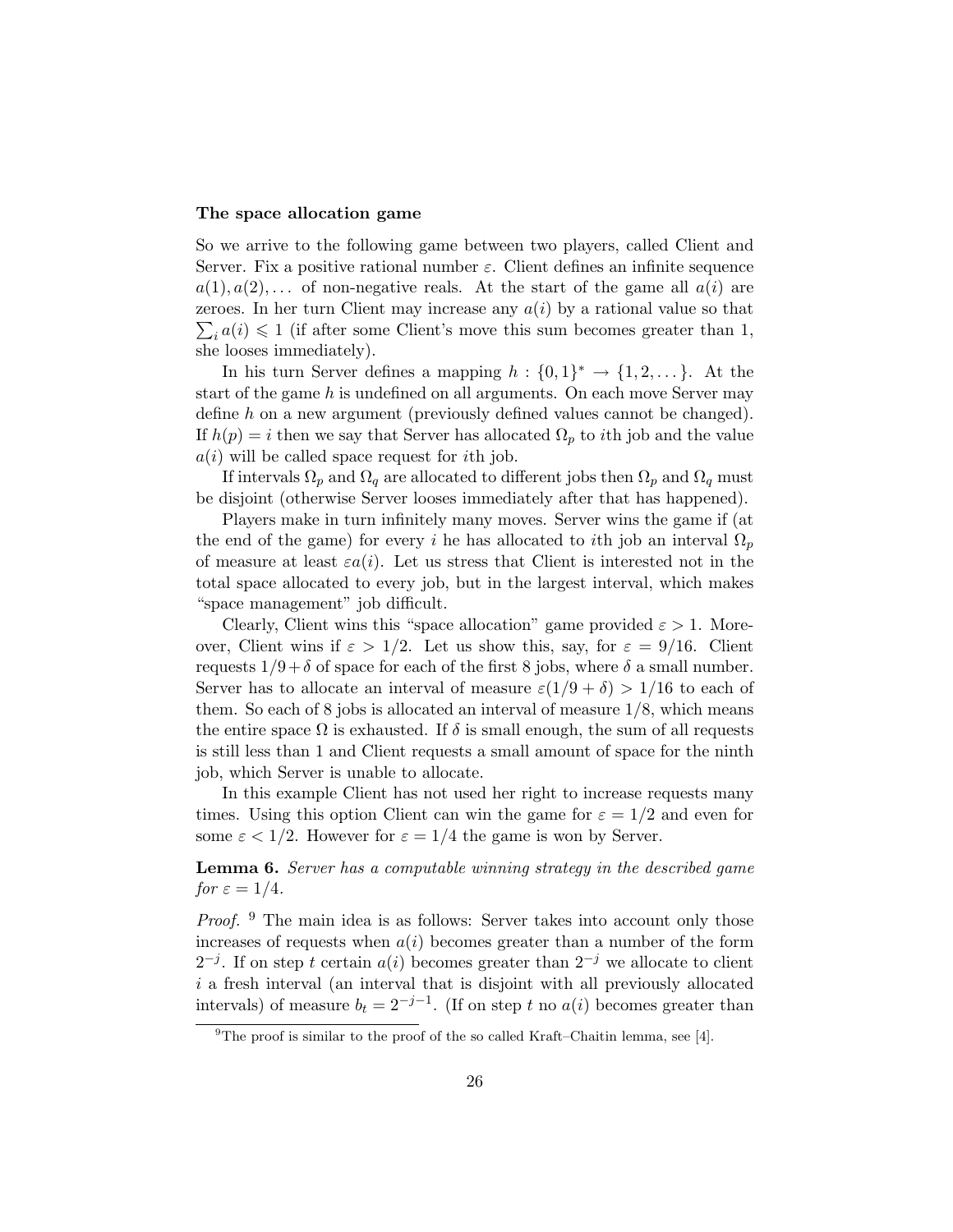### The space allocation game

So we arrive to the following game between two players, called Client and Server. Fix a positive rational number  $\varepsilon$ . Client defines an infinite sequence  $a(1), a(2), \ldots$  of non-negative reals. At the start of the game all  $a(i)$  are  $\sum_i a(i) \leq 1$  (if after some Client's move this sum becomes greater than 1, zeroes. In her turn Client may increase any  $a(i)$  by a rational value so that she looses immediately).

In his turn Server defines a mapping  $h: \{0,1\}^* \to \{1,2,\dots\}$ . At the start of the game  $h$  is undefined on all arguments. On each move Server may define h on a new argument (previously defined values cannot be changed). If  $h(p) = i$  then we say that Server has allocated  $\Omega_p$  to *i*th job and the value  $a(i)$  will be called space request for *i*th job.

If intervals  $\Omega_p$  and  $\Omega_q$  are allocated to different jobs then  $\Omega_p$  and  $\Omega_q$  must be disjoint (otherwise Server looses immediately after that has happened).

Players make in turn infinitely many moves. Server wins the game if (at the end of the game) for every i he has allocated to ith job an interval  $\Omega_n$ of measure at least  $\varepsilon a(i)$ . Let us stress that Client is interested not in the total space allocated to every job, but in the largest interval, which makes "space management" job difficult.

Clearly, Client wins this "space allocation" game provided  $\varepsilon > 1$ . Moreover, Client wins if  $\varepsilon > 1/2$ . Let us show this, say, for  $\varepsilon = 9/16$ . Client requests  $1/9+\delta$  of space for each of the first 8 jobs, where  $\delta$  a small number. Server has to allocate an interval of measure  $\varepsilon(1/9+\delta) > 1/16$  to each of them. So each of 8 jobs is allocated an interval of measure  $1/8$ , which means the entire space  $\Omega$  is exhausted. If  $\delta$  is small enough, the sum of all requests is still less than 1 and Client requests a small amount of space for the ninth job, which Server is unable to allocate.

In this example Client has not used her right to increase requests many times. Using this option Client can win the game for  $\varepsilon = 1/2$  and even for some  $\varepsilon < 1/2$ . However for  $\varepsilon = 1/4$  the game is won by Server.

Lemma 6. Server has a computable winning strategy in the described game for  $\varepsilon = 1/4$ .

*Proof.*  $9$  The main idea is as follows: Server takes into account only those increases of requests when  $a(i)$  becomes greater than a number of the form  $2^{-j}$ . If on step t certain  $a(i)$  becomes greater than  $2^{-j}$  we allocate to client  $i$  a fresh interval (an interval that is disjoint with all previously allocated intervals) of measure  $b_t = 2^{-j-1}$ . (If on step t no  $a(i)$  becomes greater than

<sup>&</sup>lt;sup>9</sup>The proof is similar to the proof of the so called Kraft–Chaitin lemma, see [4].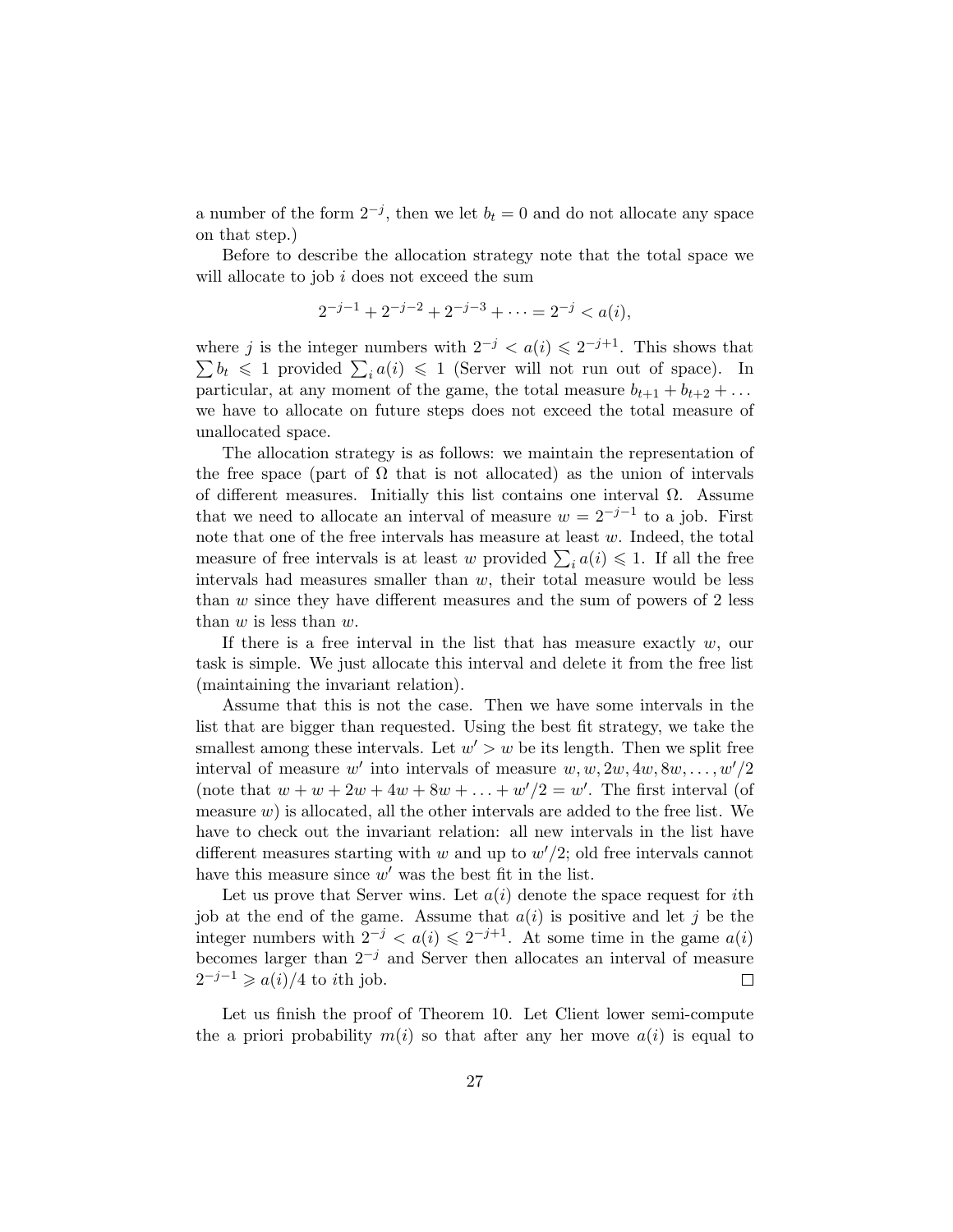a number of the form  $2^{-j}$ , then we let  $b_t = 0$  and do not allocate any space on that step.)

Before to describe the allocation strategy note that the total space we will allocate to job  $i$  does not exceed the sum

$$
2^{-j-1} + 2^{-j-2} + 2^{-j-3} + \dots = 2^{-j} < a(i),
$$

where j is the integer numbers with  $2^{-j} < a(i) \leq 2^{-j+1}$ . This shows that  $\sum b_t \leq 1$  provided  $\sum_i a(i) \leq 1$  (Server will not run out of space). In particular, at any moment of the game, the total measure  $b_{t+1} + b_{t+2} + \ldots$ we have to allocate on future steps does not exceed the total measure of unallocated space.

The allocation strategy is as follows: we maintain the representation of the free space (part of  $\Omega$  that is not allocated) as the union of intervals of different measures. Initially this list contains one interval  $\Omega$ . Assume that we need to allocate an interval of measure  $w = 2^{-j-1}$  to a job. First note that one of the free intervals has measure at least  $w$ . Indeed, the total measure of free intervals is at least w provided  $\sum_i a(i) \leq 1$ . If all the free intervals had measures smaller than  $w$ , their total measure would be less than  $w$  since they have different measures and the sum of powers of 2 less than  $w$  is less than  $w$ .

If there is a free interval in the list that has measure exactly  $w$ , our task is simple. We just allocate this interval and delete it from the free list (maintaining the invariant relation).

Assume that this is not the case. Then we have some intervals in the list that are bigger than requested. Using the best fit strategy, we take the smallest among these intervals. Let  $w' > w$  be its length. Then we split free interval of measure w' into intervals of measure  $w, w, 2w, 4w, 8w, \ldots, w'/2$ (note that  $w + w + 2w + 4w + 8w + \ldots + w'/2 = w'$ . The first interval (of measure  $w$ ) is allocated, all the other intervals are added to the free list. We have to check out the invariant relation: all new intervals in the list have different measures starting with  $w$  and up to  $w'/2$ ; old free intervals cannot have this measure since  $w'$  was the best fit in the list.

Let us prove that Server wins. Let  $a(i)$  denote the space request for *i*th job at the end of the game. Assume that  $a(i)$  is positive and let j be the integer numbers with  $2^{-j} < a(i) \leq 2^{-j+1}$ . At some time in the game  $a(i)$ becomes larger than  $2^{-j}$  and Server then allocates an interval of measure  $2^{-j-1} \geqslant a(i)/4$  to *i*th job.  $\Box$ 

Let us finish the proof of Theorem 10. Let Client lower semi-compute the a priori probability  $m(i)$  so that after any her move  $a(i)$  is equal to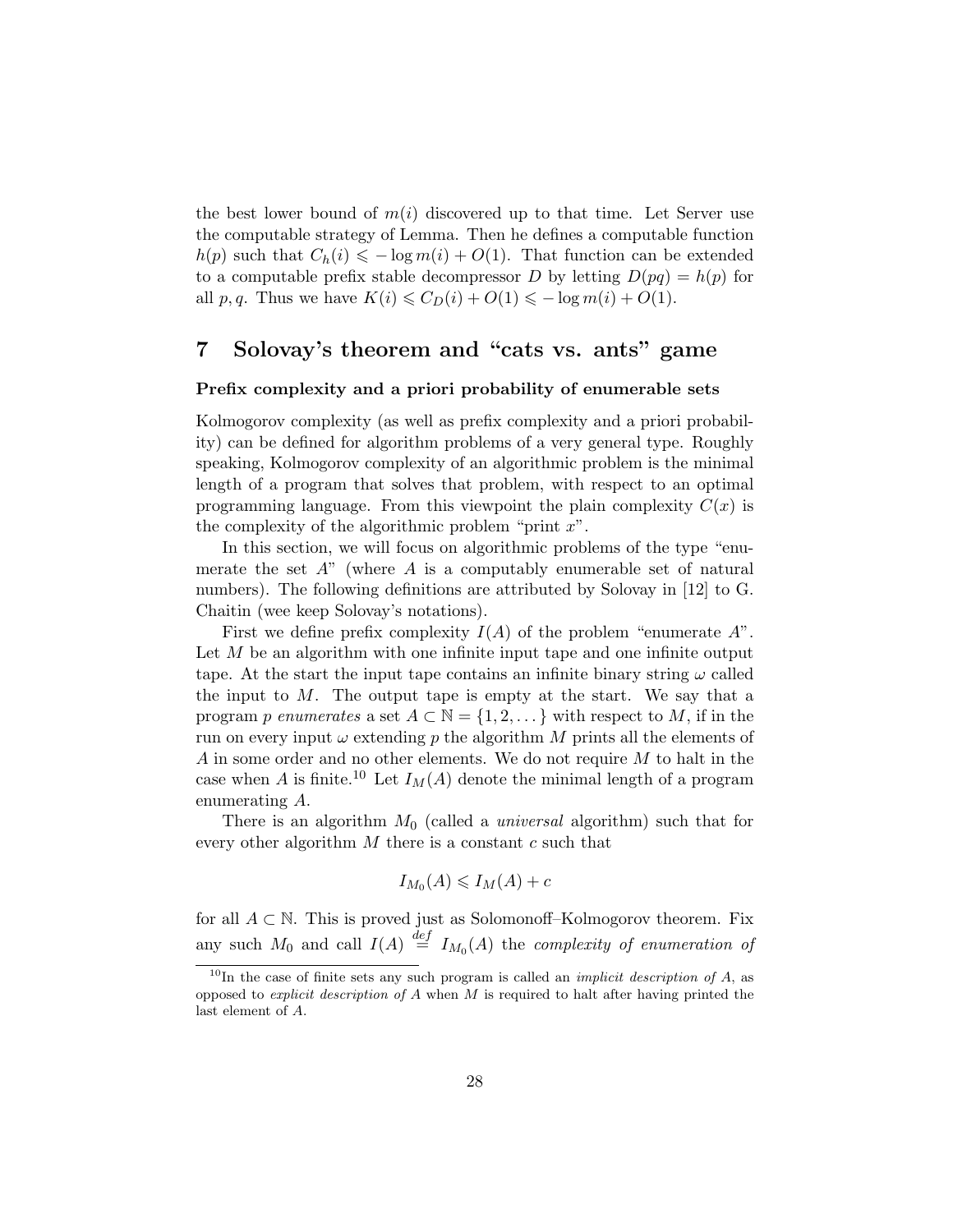the best lower bound of  $m(i)$  discovered up to that time. Let Server use the computable strategy of Lemma. Then he defines a computable function  $h(p)$  such that  $C_h(i) \leq -\log m(i) + O(1)$ . That function can be extended to a computable prefix stable decompressor D by letting  $D(pq) = h(p)$  for all p, q. Thus we have  $K(i) \leq C_D(i) + O(1) \leq -\log m(i) + O(1)$ .

# 7 Solovay's theorem and "cats vs. ants" game

### Prefix complexity and a priori probability of enumerable sets

Kolmogorov complexity (as well as prefix complexity and a priori probability) can be defined for algorithm problems of a very general type. Roughly speaking, Kolmogorov complexity of an algorithmic problem is the minimal length of a program that solves that problem, with respect to an optimal programming language. From this viewpoint the plain complexity  $C(x)$  is the complexity of the algorithmic problem "print  $x$ ".

In this section, we will focus on algorithmic problems of the type "enumerate the set  $A$ " (where  $A$  is a computably enumerable set of natural numbers). The following definitions are attributed by Solovay in [12] to G. Chaitin (wee keep Solovay's notations).

First we define prefix complexity  $I(A)$  of the problem "enumerate  $A$ ". Let M be an algorithm with one infinite input tape and one infinite output tape. At the start the input tape contains an infinite binary string  $\omega$  called the input to  $M$ . The output tape is empty at the start. We say that a program p enumerates a set  $A \subset \mathbb{N} = \{1, 2, \dots\}$  with respect to M, if in the run on every input  $\omega$  extending p the algorithm M prints all the elements of  $A$  in some order and no other elements. We do not require  $M$  to halt in the case when A is finite.<sup>10</sup> Let  $I_M(A)$  denote the minimal length of a program enumerating A.

There is an algorithm  $M_0$  (called a *universal* algorithm) such that for every other algorithm  $M$  there is a constant  $c$  such that

$$
I_{M_0}(A) \leq I_M(A) + c
$$

for all  $A \subset \mathbb{N}$ . This is proved just as Solomonoff–Kolmogorov theorem. Fix any such  $M_0$  and call  $I(A) \stackrel{def}{=} I_{M_0}(A)$  the *complexity of enumeration of* 

 $10$ In the case of finite sets any such program is called an *implicit description of A*, as opposed to *explicit description of A* when  $M$  is required to halt after having printed the last element of A.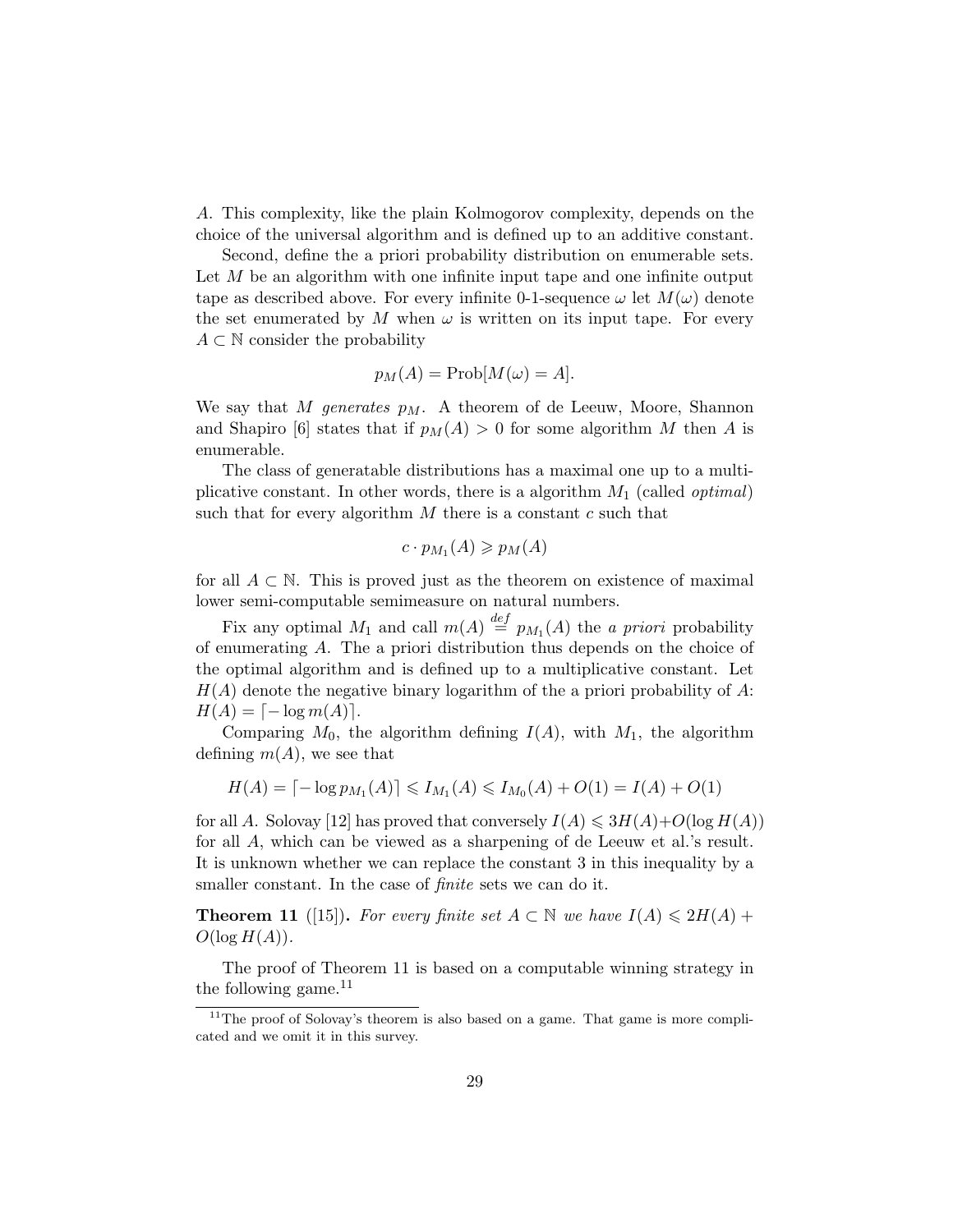A. This complexity, like the plain Kolmogorov complexity, depends on the choice of the universal algorithm and is defined up to an additive constant.

Second, define the a priori probability distribution on enumerable sets. Let M be an algorithm with one infinite input tape and one infinite output tape as described above. For every infinite 0-1-sequence  $\omega$  let  $M(\omega)$  denote the set enumerated by M when  $\omega$  is written on its input tape. For every  $A \subset \mathbb{N}$  consider the probability

$$
p_M(A) = \text{Prob}[M(\omega) = A].
$$

We say that M generates  $p_M$ . A theorem of de Leeuw, Moore, Shannon and Shapiro [6] states that if  $p_M(A) > 0$  for some algorithm M then A is enumerable.

The class of generatable distributions has a maximal one up to a multiplicative constant. In other words, there is a algorithm  $M_1$  (called *optimal*) such that for every algorithm  $M$  there is a constant  $c$  such that

$$
c \cdot p_{M_1}(A) \geqslant p_M(A)
$$

for all  $A \subset \mathbb{N}$ . This is proved just as the theorem on existence of maximal lower semi-computable semimeasure on natural numbers.

Fix any optimal  $M_1$  and call  $m(A) \stackrel{def}{=} p_{M_1}(A)$  the *a priori* probability of enumerating A. The a priori distribution thus depends on the choice of the optimal algorithm and is defined up to a multiplicative constant. Let  $H(A)$  denote the negative binary logarithm of the a priori probability of A:  $H(A) = \lceil -\log m(A) \rceil.$ 

Comparing  $M_0$ , the algorithm defining  $I(A)$ , with  $M_1$ , the algorithm defining  $m(A)$ , we see that

$$
H(A) = \lceil -\log p_{M_1}(A) \rceil \leq I_{M_1}(A) \leq I_{M_0}(A) + O(1) = I(A) + O(1)
$$

for all A. Solovay [12] has proved that conversely  $I(A) \leq 3H(A)+O(\log H(A))$ for all A, which can be viewed as a sharpening of de Leeuw et al.'s result. It is unknown whether we can replace the constant 3 in this inequality by a smaller constant. In the case of *finite* sets we can do it.

**Theorem 11** ([15]). For every finite set  $A \subset \mathbb{N}$  we have  $I(A) \leq 2H(A) +$  $O(\log H(A)).$ 

The proof of Theorem 11 is based on a computable winning strategy in the following game.<sup>11</sup>

 $11$ <sup>The</sup> proof of Solovay's theorem is also based on a game. That game is more complicated and we omit it in this survey.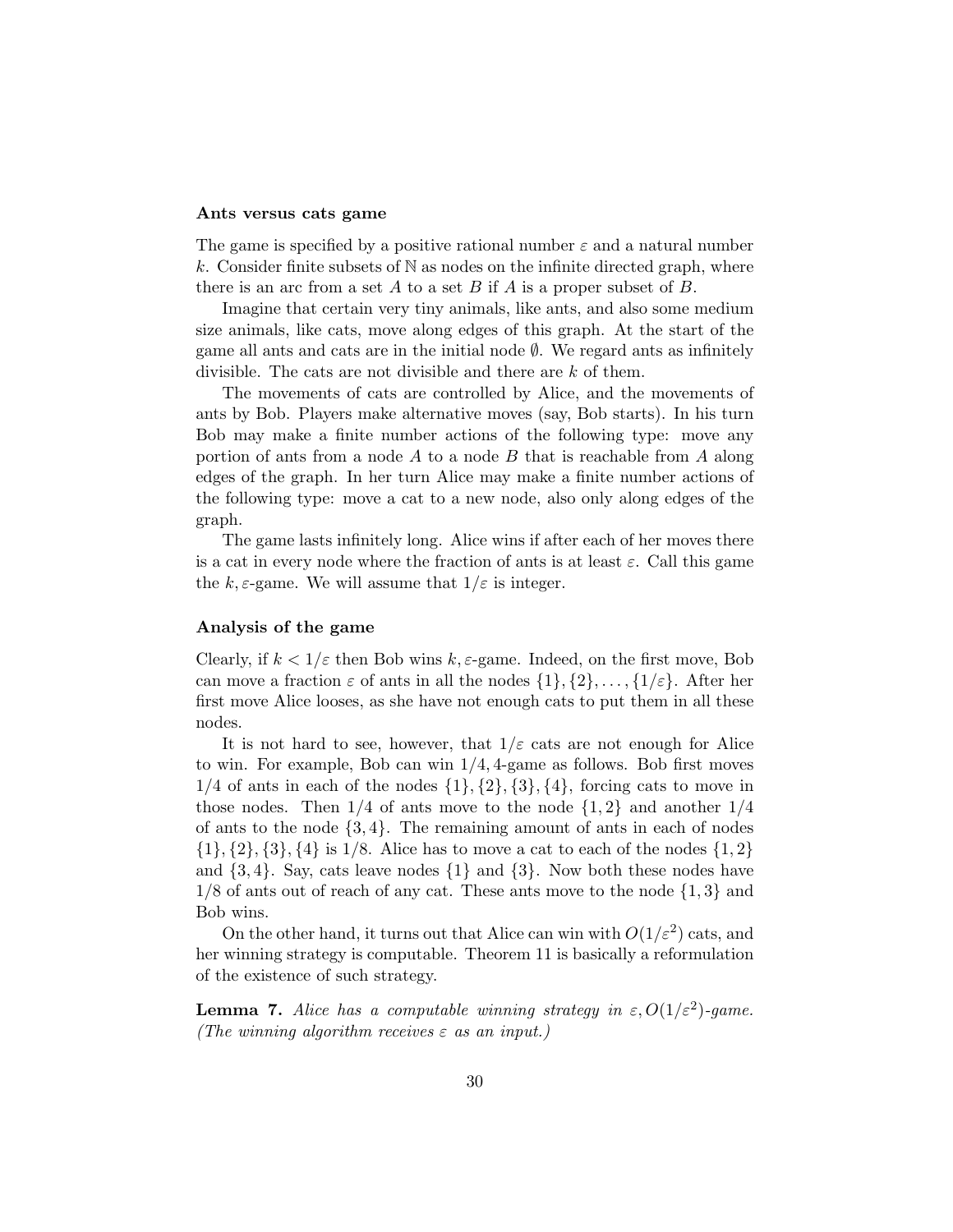### Ants versus cats game

The game is specified by a positive rational number  $\varepsilon$  and a natural number k. Consider finite subsets of  $N$  as nodes on the infinite directed graph, where there is an arc from a set A to a set B if A is a proper subset of B.

Imagine that certain very tiny animals, like ants, and also some medium size animals, like cats, move along edges of this graph. At the start of the game all ants and cats are in the initial node ∅. We regard ants as infinitely divisible. The cats are not divisible and there are k of them.

The movements of cats are controlled by Alice, and the movements of ants by Bob. Players make alternative moves (say, Bob starts). In his turn Bob may make a finite number actions of the following type: move any portion of ants from a node A to a node B that is reachable from A along edges of the graph. In her turn Alice may make a finite number actions of the following type: move a cat to a new node, also only along edges of the graph.

The game lasts infinitely long. Alice wins if after each of her moves there is a cat in every node where the fraction of ants is at least  $\varepsilon$ . Call this game the k,  $\varepsilon$ -game. We will assume that  $1/\varepsilon$  is integer.

### Analysis of the game

Clearly, if  $k < 1/\varepsilon$  then Bob wins  $k, \varepsilon$ -game. Indeed, on the first move, Bob can move a fraction  $\varepsilon$  of ants in all the nodes  $\{1\}, \{2\}, \ldots, \{1/\varepsilon\}.$  After her first move Alice looses, as she have not enough cats to put them in all these nodes.

It is not hard to see, however, that  $1/\varepsilon$  cats are not enough for Alice to win. For example, Bob can win 1/4, 4-game as follows. Bob first moves  $1/4$  of ants in each of the nodes  $\{1\}, \{2\}, \{3\}, \{4\}$ , forcing cats to move in those nodes. Then  $1/4$  of ants move to the node  $\{1,2\}$  and another  $1/4$ of ants to the node  $\{3, 4\}$ . The remaining amount of ants in each of nodes  $\{1\}, \{2\}, \{3\}, \{4\}$  is  $1/8$ . Alice has to move a cat to each of the nodes  $\{1, 2\}$ and  $\{3, 4\}$ . Say, cats leave nodes  $\{1\}$  and  $\{3\}$ . Now both these nodes have  $1/8$  of ants out of reach of any cat. These ants move to the node  $\{1,3\}$  and Bob wins.

On the other hand, it turns out that Alice can win with  $O(1/\varepsilon^2)$  cats, and her winning strategy is computable. Theorem 11 is basically a reformulation of the existence of such strategy.

**Lemma 7.** Alice has a computable winning strategy in  $\varepsilon$ ,  $O(1/\varepsilon^2)$ -game. (The winning algorithm receives  $\varepsilon$  as an input.)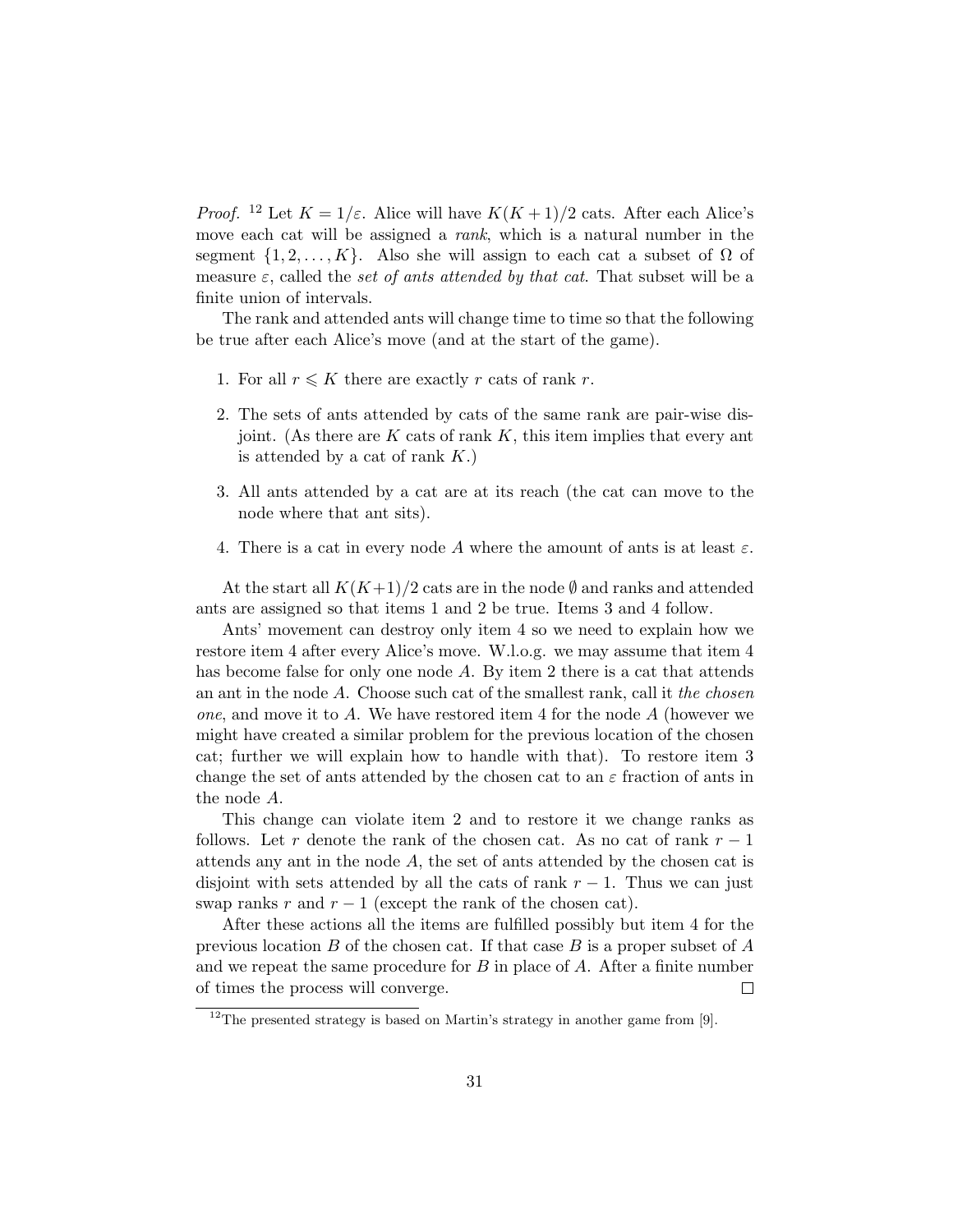*Proof.* <sup>12</sup> Let  $K = 1/\varepsilon$ . Alice will have  $K(K+1)/2$  cats. After each Alice's move each cat will be assigned a *rank*, which is a natural number in the segment  $\{1, 2, \ldots, K\}$ . Also she will assign to each cat a subset of  $\Omega$  of measure  $\varepsilon$ , called the set of ants attended by that cat. That subset will be a finite union of intervals.

The rank and attended ants will change time to time so that the following be true after each Alice's move (and at the start of the game).

- 1. For all  $r \leq K$  there are exactly r cats of rank r.
- 2. The sets of ants attended by cats of the same rank are pair-wise disjoint. (As there are  $K$  cats of rank  $K$ , this item implies that every ant is attended by a cat of rank  $K$ .)
- 3. All ants attended by a cat are at its reach (the cat can move to the node where that ant sits).
- 4. There is a cat in every node A where the amount of ants is at least  $\varepsilon$ .

At the start all  $K(K+1)/2$  cats are in the node  $\emptyset$  and ranks and attended ants are assigned so that items 1 and 2 be true. Items 3 and 4 follow.

Ants' movement can destroy only item 4 so we need to explain how we restore item 4 after every Alice's move. W.l.o.g. we may assume that item 4 has become false for only one node A. By item 2 there is a cat that attends an ant in the node A. Choose such cat of the smallest rank, call it the chosen *one*, and move it to A. We have restored item 4 for the node  $A$  (however we might have created a similar problem for the previous location of the chosen cat; further we will explain how to handle with that). To restore item 3 change the set of ants attended by the chosen cat to an  $\varepsilon$  fraction of ants in the node A.

This change can violate item 2 and to restore it we change ranks as follows. Let r denote the rank of the chosen cat. As no cat of rank  $r-1$ attends any ant in the node  $A$ , the set of ants attended by the chosen cat is disjoint with sets attended by all the cats of rank  $r - 1$ . Thus we can just swap ranks  $r$  and  $r - 1$  (except the rank of the chosen cat).

After these actions all the items are fulfilled possibly but item 4 for the previous location B of the chosen cat. If that case B is a proper subset of  $A$ and we repeat the same procedure for  $B$  in place of  $A$ . After a finite number of times the process will converge.  $\Box$ 

 $12$ The presented strategy is based on Martin's strategy in another game from [9].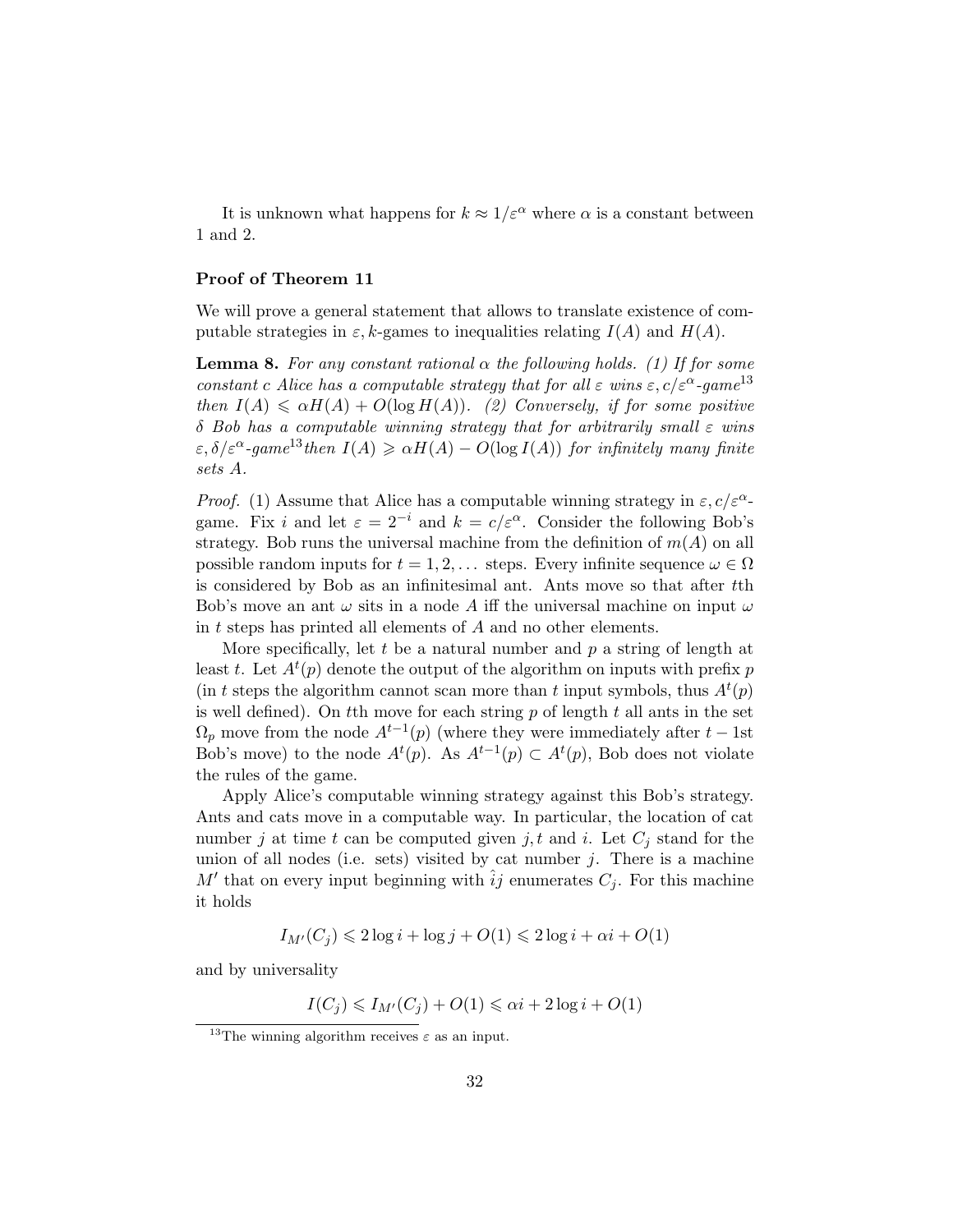It is unknown what happens for  $k \approx 1/\varepsilon^{\alpha}$  where  $\alpha$  is a constant between 1 and 2.

### Proof of Theorem 11

We will prove a general statement that allows to translate existence of computable strategies in  $\varepsilon$ , k-games to inequalities relating  $I(A)$  and  $H(A)$ .

**Lemma 8.** For any constant rational  $\alpha$  the following holds. (1) If for some constant c Alice has a computable strategy that for all  $\varepsilon$  wins  $\varepsilon$ ,  $c/\varepsilon^{\alpha}$ -game<sup>13</sup> then  $I(A) \le \alpha H(A) + O(\log H(A))$ . (2) Conversely, if for some positive  $\delta$  Bob has a computable winning strategy that for arbitrarily small  $\varepsilon$  wins  $\varepsilon, \delta/\varepsilon^{\alpha}$ -game<sup>13</sup>then  $I(A) \geq \alpha H(A) - O(\log I(A))$  for infinitely many finite sets A.

*Proof.* (1) Assume that Alice has a computable winning strategy in  $\varepsilon$ ,  $c/\varepsilon^{\alpha}$ game. Fix i and let  $\varepsilon = 2^{-i}$  and  $k = c/\varepsilon^{\alpha}$ . Consider the following Bob's strategy. Bob runs the universal machine from the definition of  $m(A)$  on all possible random inputs for  $t = 1, 2, \ldots$  steps. Every infinite sequence  $\omega \in \Omega$ is considered by Bob as an infinitesimal ant. Ants move so that after tth Bob's move an ant  $\omega$  sits in a node A iff the universal machine on input  $\omega$ in t steps has printed all elements of A and no other elements.

More specifically, let  $t$  be a natural number and  $p$  a string of length at least t. Let  $A^t(p)$  denote the output of the algorithm on inputs with prefix p (in t steps the algorithm cannot scan more than t input symbols, thus  $A^t(p)$ ) is well defined). On the move for each string  $p$  of length  $t$  all ants in the set  $\Omega_p$  move from the node  $A^{t-1}(p)$  (where they were immediately after  $t-1$ st Bob's move) to the node  $A^t(p)$ . As  $A^{t-1}(p) \subset A^t(p)$ , Bob does not violate the rules of the game.

Apply Alice's computable winning strategy against this Bob's strategy. Ants and cats move in a computable way. In particular, the location of cat number j at time t can be computed given j, t and i. Let  $C_i$  stand for the union of all nodes (i.e. sets) visited by cat number  $j$ . There is a machine M' that on every input beginning with  $\hat{i}j$  enumerates  $C_j$ . For this machine it holds

$$
I_{M'}(C_j) \leq 2\log i + \log j + O(1) \leq 2\log i + \alpha i + O(1)
$$

and by universality

$$
I(C_j) \leq I_{M'}(C_j) + O(1) \leq \alpha i + 2\log i + O(1)
$$

<sup>&</sup>lt;sup>13</sup>The winning algorithm receives  $\varepsilon$  as an input.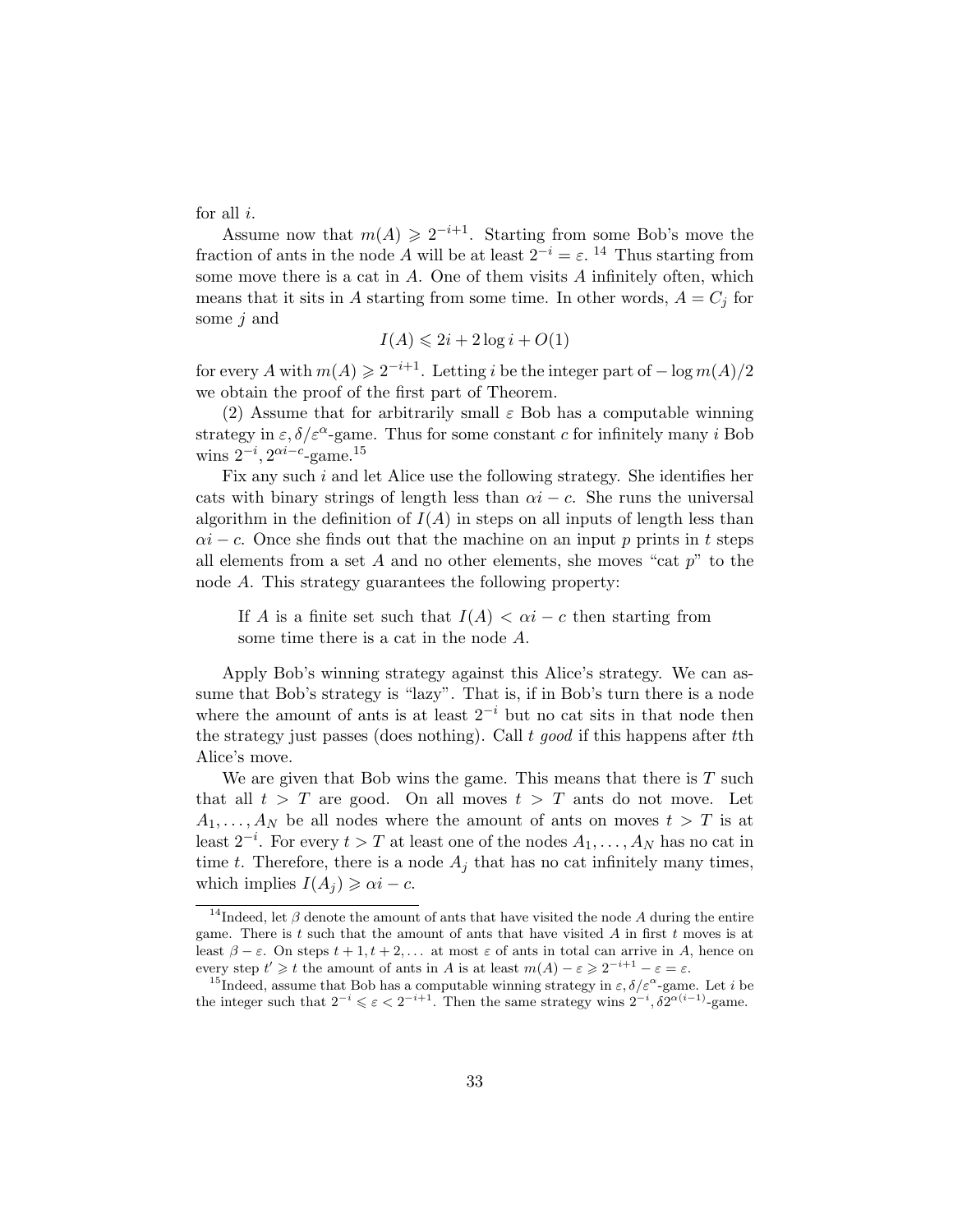for all  $i$ .

Assume now that  $m(A) \geq 2^{-i+1}$ . Starting from some Bob's move the fraction of ants in the node A will be at least  $2^{-i} = \varepsilon$ . <sup>14</sup> Thus starting from some move there is a cat in A. One of them visits A infinitely often, which means that it sits in A starting from some time. In other words,  $A = C_j$  for some *j* and

$$
I(A) \leqslant 2i + 2\log i + O(1)
$$

for every A with  $m(A) \geqslant 2^{-i+1}$ . Letting i be the integer part of  $-\log m(A)/2$ we obtain the proof of the first part of Theorem.

(2) Assume that for arbitrarily small  $\varepsilon$  Bob has a computable winning strategy in  $\varepsilon$ ,  $\delta/\varepsilon^{\alpha}$ -game. Thus for some constant c for infinitely many i Bob wins  $2^{-i}$ ,  $2^{\alpha i - c}$ -game.<sup>15</sup>

Fix any such i and let Alice use the following strategy. She identifies her cats with binary strings of length less than  $\alpha i - c$ . She runs the universal algorithm in the definition of  $I(A)$  in steps on all inputs of length less than  $\alpha i - c$ . Once she finds out that the machine on an input p prints in t steps all elements from a set A and no other elements, she moves "cat  $p$ " to the node A. This strategy guarantees the following property:

If A is a finite set such that  $I(A) < \alpha i - c$  then starting from some time there is a cat in the node A.

Apply Bob's winning strategy against this Alice's strategy. We can assume that Bob's strategy is "lazy". That is, if in Bob's turn there is a node where the amount of ants is at least  $2^{-i}$  but no cat sits in that node then the strategy just passes (does nothing). Call  $t \text{ good if this happens after } t\text{th}$ Alice's move.

We are given that Bob wins the game. This means that there is  $T$  such that all  $t > T$  are good. On all moves  $t > T$  ants do not move. Let  $A_1, \ldots, A_N$  be all nodes where the amount of ants on moves  $t > T$  is at least  $2^{-i}$ . For every  $t > T$  at least one of the nodes  $A_1, \ldots, A_N$  has no cat in time t. Therefore, there is a node  $A_i$  that has no cat infinitely many times, which implies  $I(A_i) \geq \alpha i - c$ .

<sup>&</sup>lt;sup>14</sup>Indeed, let  $\beta$  denote the amount of ants that have visited the node A during the entire game. There is t such that the amount of ants that have visited A in first t moves is at least  $β - ε$ . On steps  $t + 1, t + 2, ...$  at most  $ε$  of ants in total can arrive in A, hence on every step  $t' \geq t$  the amount of ants in A is at least  $m(A) - \varepsilon \geq 2^{-i+1} - \varepsilon = \varepsilon$ .

<sup>&</sup>lt;sup>15</sup>Indeed, assume that Bob has a computable winning strategy in  $\varepsilon$ ,  $\delta/\varepsilon^{\alpha}$ -game. Let *i* be the integer such that  $2^{-i} \leq \varepsilon < 2^{-i+1}$ . Then the same strategy wins  $2^{-i}$ ,  $\delta 2^{\alpha(i-1)}$ -game.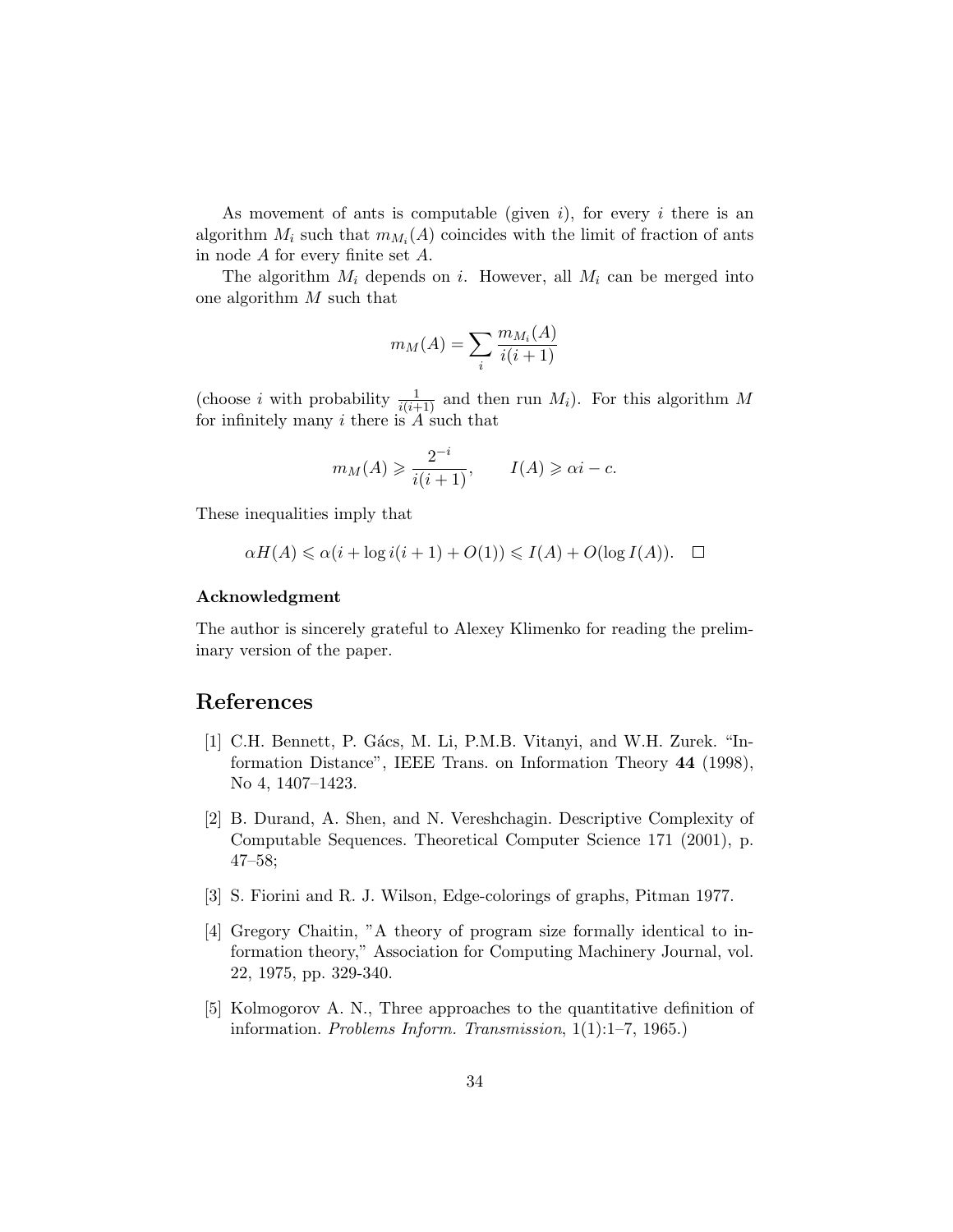As movement of ants is computable (given  $i$ ), for every i there is an algorithm  $M_i$  such that  $m_{M_i}(A)$  coincides with the limit of fraction of ants in node A for every finite set A.

The algorithm  $M_i$  depends on i. However, all  $M_i$  can be merged into one algorithm M such that

$$
m_M(A) = \sum_i \frac{m_{M_i}(A)}{i(i+1)}
$$

(choose *i* with probability  $\frac{1}{i(i+1)}$  and then run  $M_i$ ). For this algorithm M for infinitely many  $i$  there is  $A$  such that

$$
m_M(A) \geqslant \frac{2^{-i}}{i(i+1)}, \qquad I(A) \geqslant \alpha i - c.
$$

These inequalities imply that

$$
\alpha H(A) \leq \alpha (i + \log i(i + 1) + O(1)) \leq I(A) + O(\log I(A)). \quad \Box
$$

### Acknowledgment

The author is sincerely grateful to Alexey Klimenko for reading the preliminary version of the paper.

# References

- [1] C.H. Bennett, P. Gács, M. Li, P.M.B. Vitanyi, and W.H. Zurek. "Information Distance", IEEE Trans. on Information Theory 44 (1998), No 4, 1407–1423.
- [2] B. Durand, A. Shen, and N. Vereshchagin. Descriptive Complexity of Computable Sequences. Theoretical Computer Science 171 (2001), p. 47–58;
- [3] S. Fiorini and R. J. Wilson, Edge-colorings of graphs, Pitman 1977.
- [4] Gregory Chaitin, "A theory of program size formally identical to information theory," Association for Computing Machinery Journal, vol. 22, 1975, pp. 329-340.
- [5] Kolmogorov A. N., Three approaches to the quantitative definition of information. Problems Inform. Transmission, 1(1):1–7, 1965.)